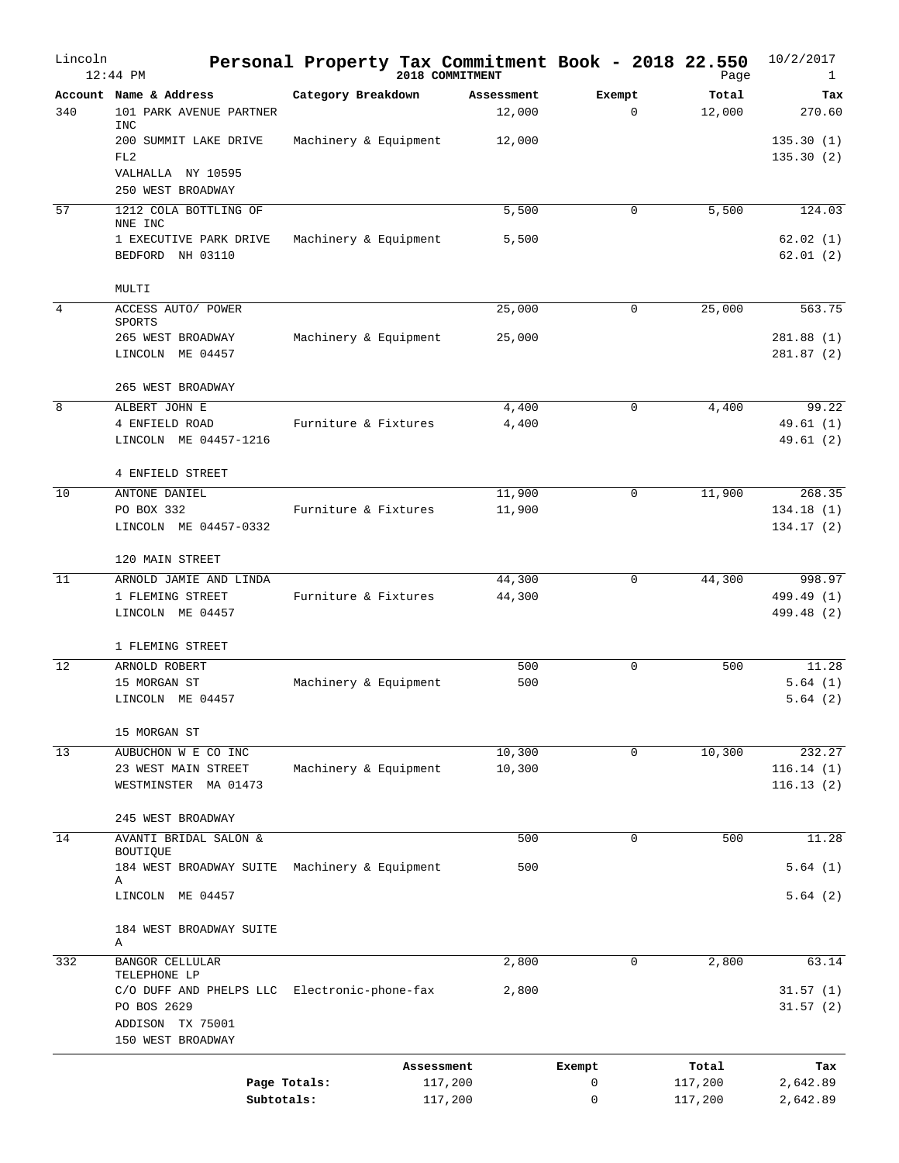| Lincoln        | $12:44$ PM                                                   |                       |            | Personal Property Tax Commitment Book - 2018 22.550<br>2018 COMMITMENT |             | Page    | 10/2/2017<br>$\mathbf{1}$ |
|----------------|--------------------------------------------------------------|-----------------------|------------|------------------------------------------------------------------------|-------------|---------|---------------------------|
|                | Account Name & Address                                       | Category Breakdown    |            | Assessment                                                             | Exempt      | Total   | Tax                       |
| 340            | 101 PARK AVENUE PARTNER                                      |                       |            | 12,000                                                                 | $\mathbf 0$ | 12,000  | 270.60                    |
|                | <b>INC</b><br>200 SUMMIT LAKE DRIVE                          | Machinery & Equipment |            | 12,000                                                                 |             |         | 135.30(1)                 |
|                | FL <sub>2</sub>                                              |                       |            |                                                                        |             |         | 135.30(2)                 |
|                | VALHALLA NY 10595                                            |                       |            |                                                                        |             |         |                           |
|                | 250 WEST BROADWAY                                            |                       |            |                                                                        |             |         |                           |
| 57             | 1212 COLA BOTTLING OF<br>NNE INC                             |                       |            | 5,500                                                                  | 0           | 5,500   | 124.03                    |
|                | 1 EXECUTIVE PARK DRIVE                                       | Machinery & Equipment |            | 5,500                                                                  |             |         | 62.02(1)                  |
|                | BEDFORD NH 03110                                             |                       |            |                                                                        |             |         | 62.01(2)                  |
|                | MULTI                                                        |                       |            |                                                                        |             |         |                           |
| $\overline{4}$ | ACCESS AUTO/ POWER                                           |                       |            | 25,000                                                                 | $\mathbf 0$ | 25,000  | 563.75                    |
|                | SPORTS                                                       |                       |            |                                                                        |             |         |                           |
|                | 265 WEST BROADWAY<br>LINCOLN ME 04457                        | Machinery & Equipment |            | 25,000                                                                 |             |         | 281.88(1)<br>281.87(2)    |
|                |                                                              |                       |            |                                                                        |             |         |                           |
|                | 265 WEST BROADWAY                                            |                       |            |                                                                        |             |         |                           |
| 8              | ALBERT JOHN E                                                |                       |            | 4,400                                                                  | $\mathbf 0$ | 4,400   | 99.22                     |
|                | 4 ENFIELD ROAD                                               | Furniture & Fixtures  |            | 4,400                                                                  |             |         | 49.61(1)                  |
|                | LINCOLN ME 04457-1216                                        |                       |            |                                                                        |             |         | 49.61 (2)                 |
|                | 4 ENFIELD STREET                                             |                       |            |                                                                        |             |         |                           |
| 10             | ANTONE DANIEL                                                |                       |            | 11,900                                                                 | $\mathbf 0$ | 11,900  | 268.35                    |
|                | PO BOX 332                                                   | Furniture & Fixtures  |            | 11,900                                                                 |             |         | 134.18(1)                 |
|                | LINCOLN ME 04457-0332                                        |                       |            |                                                                        |             |         | 134.17(2)                 |
|                | 120 MAIN STREET                                              |                       |            |                                                                        |             |         |                           |
| 11             | ARNOLD JAMIE AND LINDA                                       |                       |            | 44,300                                                                 | 0           | 44,300  | 998.97                    |
|                | 1 FLEMING STREET                                             | Furniture & Fixtures  |            | 44,300                                                                 |             |         | 499.49 (1)                |
|                | LINCOLN ME 04457                                             |                       |            |                                                                        |             |         | 499.48 (2)                |
|                | 1 FLEMING STREET                                             |                       |            |                                                                        |             |         |                           |
| 12             | ARNOLD ROBERT                                                |                       |            | 500                                                                    | $\mathbf 0$ | 500     | 11.28                     |
|                | 15 MORGAN ST                                                 | Machinery & Equipment |            | 500                                                                    |             |         | 5.64(1)                   |
|                | LINCOLN ME 04457                                             |                       |            |                                                                        |             |         | 5.64(2)                   |
|                | 15 MORGAN ST                                                 |                       |            |                                                                        |             |         |                           |
| 13             | AUBUCHON W E CO INC                                          |                       |            | 10,300                                                                 | $\mathbf 0$ | 10,300  | 232.27                    |
|                | 23 WEST MAIN STREET                                          | Machinery & Equipment |            | 10,300                                                                 |             |         | 116.14(1)                 |
|                | WESTMINSTER MA 01473                                         |                       |            |                                                                        |             |         | 116.13(2)                 |
|                | 245 WEST BROADWAY                                            |                       |            |                                                                        |             |         |                           |
| 14             | AVANTI BRIDAL SALON &                                        |                       |            | 500                                                                    | $\mathbf 0$ | 500     | 11.28                     |
|                | BOUTIQUE                                                     |                       |            |                                                                        |             |         |                           |
|                | 184 WEST BROADWAY SUITE<br>Α                                 | Machinery & Equipment |            | 500                                                                    |             |         | 5.64(1)                   |
|                | LINCOLN ME 04457                                             |                       |            |                                                                        |             |         | 5.64(2)                   |
|                |                                                              |                       |            |                                                                        |             |         |                           |
|                | 184 WEST BROADWAY SUITE<br>A                                 |                       |            |                                                                        |             |         |                           |
| 332            | <b>BANGOR CELLULAR</b>                                       |                       |            | 2,800                                                                  | $\mathbf 0$ | 2,800   | 63.14                     |
|                | TELEPHONE LP<br>C/O DUFF AND PHELPS LLC Electronic-phone-fax |                       |            | 2,800                                                                  |             |         | 31.57(1)                  |
|                | PO BOS 2629                                                  |                       |            |                                                                        |             |         | 31.57(2)                  |
|                | ADDISON TX 75001                                             |                       |            |                                                                        |             |         |                           |
|                | 150 WEST BROADWAY                                            |                       |            |                                                                        |             |         |                           |
|                |                                                              |                       | Assessment |                                                                        | Exempt      | Total   | Tax                       |
|                |                                                              | Page Totals:          |            | 117,200                                                                | 0           | 117,200 | 2,642.89                  |
|                |                                                              | Subtotals:            |            | 117,200                                                                | 0           | 117,200 | 2,642.89                  |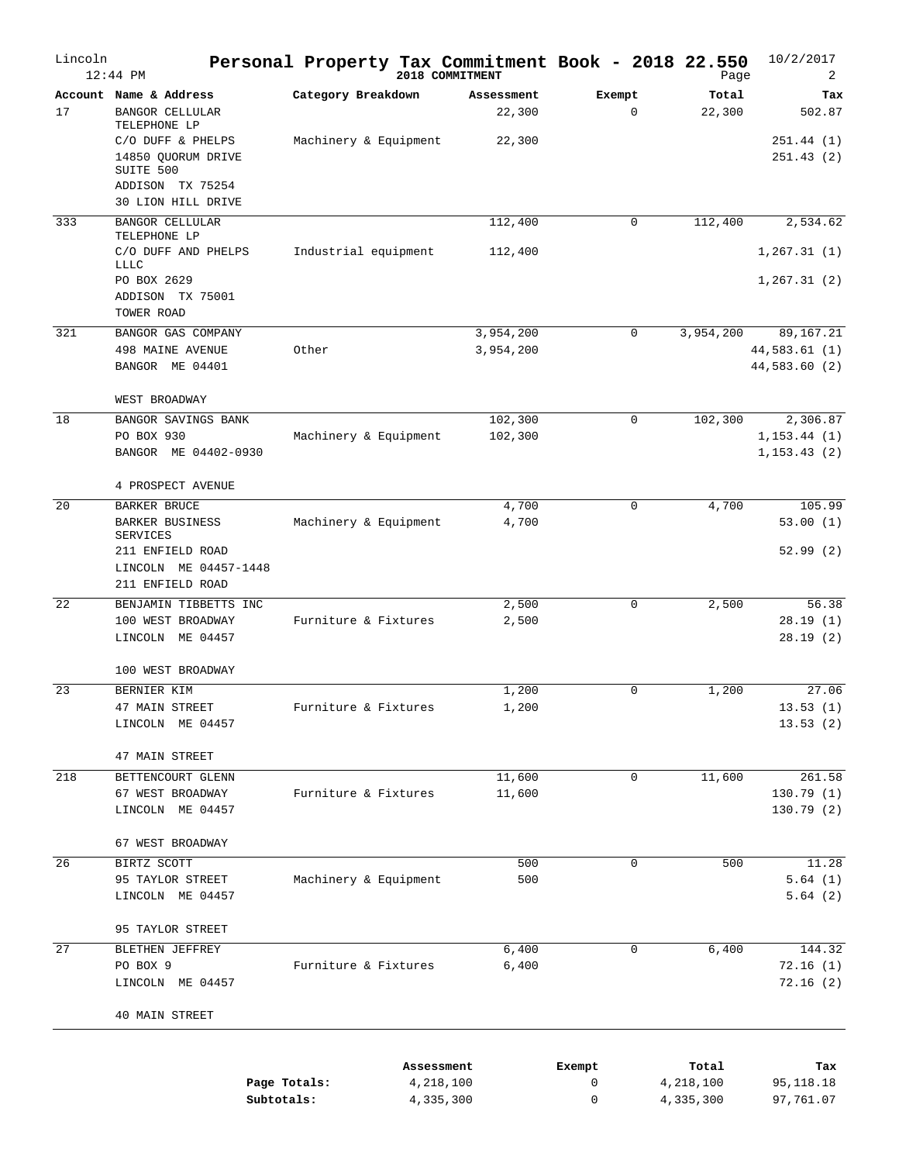| Lincoln | $12:44$ PM                                                                                     | Personal Property Tax Commitment Book - 2018 22.550 |            | 2018 COMMITMENT        |                       | Page                   | 10/2/2017<br>2                              |
|---------|------------------------------------------------------------------------------------------------|-----------------------------------------------------|------------|------------------------|-----------------------|------------------------|---------------------------------------------|
| 17      | Account Name & Address<br><b>BANGOR CELLULAR</b><br>TELEPHONE LP                               | Category Breakdown                                  |            | Assessment<br>22,300   | Exempt<br>$\mathbf 0$ | Total<br>22,300        | Tax<br>502.87                               |
|         | C/O DUFF & PHELPS<br>14850 QUORUM DRIVE<br>SUITE 500<br>ADDISON TX 75254<br>30 LION HILL DRIVE | Machinery & Equipment                               |            | 22,300                 |                       |                        | 251.44(1)<br>251.43(2)                      |
| 333     | <b>BANGOR CELLULAR</b><br>TELEPHONE LP                                                         |                                                     |            | 112,400                | 0                     | 112,400                | 2,534.62                                    |
|         | C/O DUFF AND PHELPS<br><b>LLLC</b>                                                             | Industrial equipment                                |            | 112,400                |                       |                        | 1, 267.31(1)                                |
|         | PO BOX 2629<br>ADDISON TX 75001<br>TOWER ROAD                                                  |                                                     |            |                        |                       |                        | 1, 267.31(2)                                |
| 321     | BANGOR GAS COMPANY<br>498 MAINE AVENUE<br>BANGOR ME 04401                                      | Other                                               |            | 3,954,200<br>3,954,200 | 0                     | 3,954,200              | 89,167.21<br>44,583.61 (1)<br>44,583.60 (2) |
|         | WEST BROADWAY                                                                                  |                                                     |            |                        |                       |                        |                                             |
| 18      | BANGOR SAVINGS BANK<br>PO BOX 930<br>BANGOR ME 04402-0930                                      | Machinery & Equipment                               |            | 102,300<br>102,300     | $\mathbf 0$           | 102,300                | 2,306.87<br>1, 153.44 (1)<br>1, 153.43(2)   |
|         | 4 PROSPECT AVENUE                                                                              |                                                     |            |                        |                       |                        |                                             |
| 20      | BARKER BRUCE<br><b>BARKER BUSINESS</b><br><b>SERVICES</b>                                      | Machinery & Equipment                               |            | 4,700<br>4,700         | $\mathbf 0$           | 4,700                  | 105.99<br>53.00(1)                          |
|         | 211 ENFIELD ROAD<br>LINCOLN ME 04457-1448<br>211 ENFIELD ROAD                                  |                                                     |            |                        |                       |                        | 52.99(2)                                    |
| 22      | BENJAMIN TIBBETTS INC<br>100 WEST BROADWAY<br>LINCOLN ME 04457                                 | Furniture & Fixtures                                |            | 2,500<br>2,500         | $\Omega$              | 2,500                  | 56.38<br>28.19(1)<br>28.19(2)               |
|         | 100 WEST BROADWAY                                                                              |                                                     |            |                        |                       |                        |                                             |
| 23      | BERNIER KIM<br>47 MAIN STREET<br>LINCOLN ME 04457                                              | Furniture & Fixtures                                |            | 1,200<br>1,200         | 0                     | 1,200                  | 27.06<br>13.53(1)<br>13.53(2)               |
|         | 47 MAIN STREET                                                                                 |                                                     |            |                        |                       |                        |                                             |
| 218     | BETTENCOURT GLENN<br>67 WEST BROADWAY<br>LINCOLN ME 04457                                      | Furniture & Fixtures                                |            | 11,600<br>11,600       | 0                     | 11,600                 | 261.58<br>130.79(1)<br>130.79(2)            |
|         | 67 WEST BROADWAY                                                                               |                                                     |            |                        |                       |                        |                                             |
| 26      | BIRTZ SCOTT<br>95 TAYLOR STREET<br>LINCOLN ME 04457                                            | Machinery & Equipment                               |            | 500<br>500             | 0                     | 500                    | 11.28<br>5.64(1)<br>5.64(2)                 |
|         | 95 TAYLOR STREET                                                                               |                                                     |            |                        |                       |                        |                                             |
| 27      | BLETHEN JEFFREY<br>PO BOX 9<br>LINCOLN ME 04457                                                | Furniture & Fixtures                                |            | 6,400<br>6,400         | 0                     | 6,400                  | 144.32<br>72.16(1)<br>72.16(2)              |
|         | 40 MAIN STREET                                                                                 |                                                     |            |                        |                       |                        |                                             |
|         |                                                                                                |                                                     | Assessment |                        | Exempt                | Total                  | Tax                                         |
|         |                                                                                                | Page Totals:<br>Subtotals:                          |            | 4,218,100<br>4,335,300 | 0<br>0                | 4,218,100<br>4,335,300 | 95,118.18<br>97,761.07                      |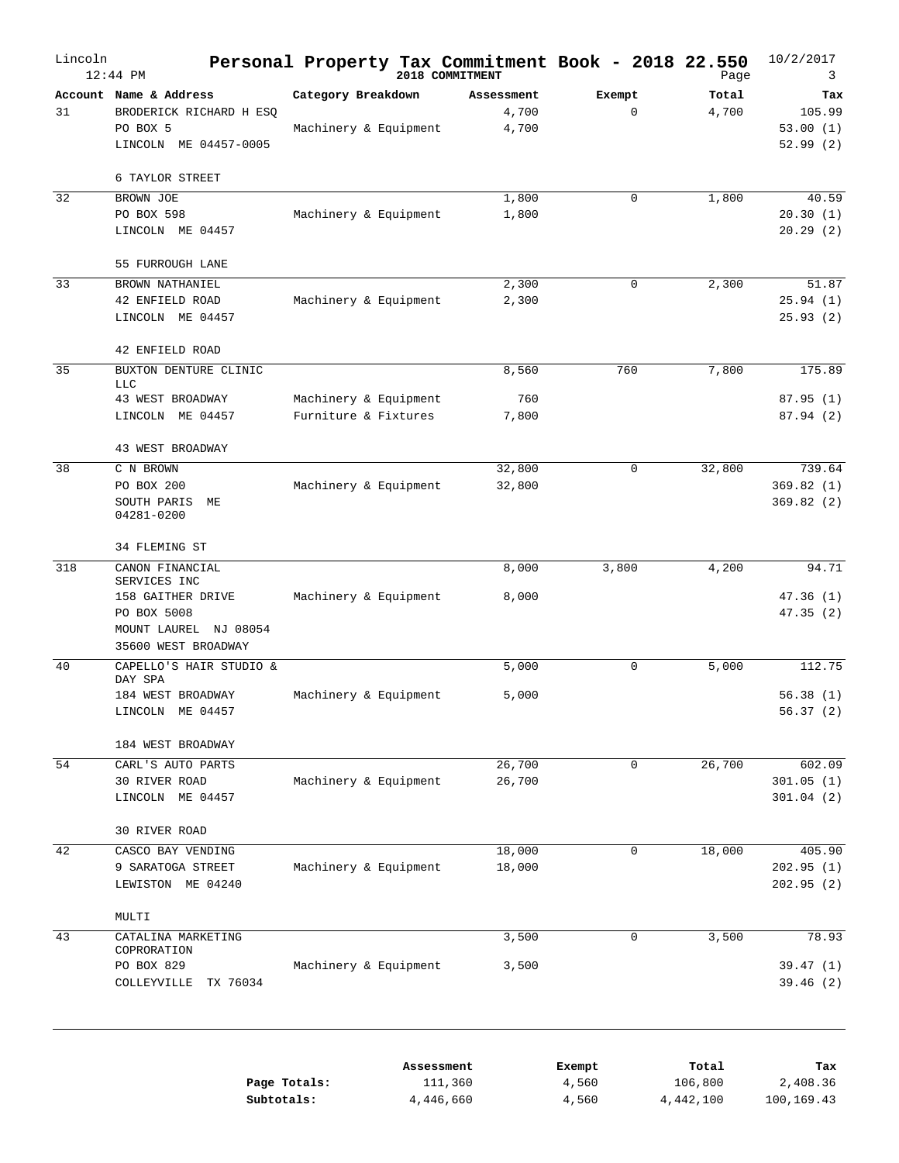| 3                                     | Page           |                       |                              | Personal Property Tax Commitment Book - 2018 22.550<br>2018 COMMITMENT | $12:44$ PM                                                                             | Lincoln   |
|---------------------------------------|----------------|-----------------------|------------------------------|------------------------------------------------------------------------|----------------------------------------------------------------------------------------|-----------|
| Tax<br>105.99<br>53.00(1)<br>52.99(2) | Total<br>4,700 | Exempt<br>$\mathbf 0$ | Assessment<br>4,700<br>4,700 | Category Breakdown<br>Machinery & Equipment                            | Account Name & Address<br>BRODERICK RICHARD H ESQ<br>PO BOX 5<br>LINCOLN ME 04457-0005 | 31        |
|                                       |                |                       |                              |                                                                        | 6 TAYLOR STREET                                                                        |           |
| 40.59<br>20.30(1)<br>20.29(2)         | 1,800          | $\mathbf 0$           | 1,800<br>1,800               | Machinery & Equipment                                                  | BROWN JOE<br>PO BOX 598<br>LINCOLN ME 04457                                            | 32        |
|                                       |                |                       |                              |                                                                        | 55 FURROUGH LANE                                                                       |           |
| 51.87<br>25.94(1)<br>25.93(2)         | 2,300          | 0                     | 2,300<br>2,300               | Machinery & Equipment                                                  | BROWN NATHANIEL<br>42 ENFIELD ROAD<br>LINCOLN ME 04457                                 | 33        |
|                                       |                |                       |                              |                                                                        | 42 ENFIELD ROAD                                                                        |           |
| 175.89                                | 7,800          | 760                   | 8,560                        |                                                                        | BUXTON DENTURE CLINIC<br><b>LLC</b>                                                    | 35        |
| 87.95(1)                              |                |                       | 760                          | Machinery & Equipment                                                  | 43 WEST BROADWAY                                                                       |           |
| 87.94 (2)                             |                |                       | 7,800                        | Furniture & Fixtures                                                   | LINCOLN ME 04457                                                                       |           |
|                                       |                |                       |                              |                                                                        | 43 WEST BROADWAY                                                                       |           |
| 739.64<br>369.82(1)<br>369.82(2)      | 32,800         | $\mathbf 0$           | 32,800<br>32,800             | Machinery & Equipment                                                  | C N BROWN<br>PO BOX 200<br>SOUTH PARIS<br>MЕ<br>04281-0200                             | 38        |
|                                       |                |                       |                              |                                                                        |                                                                                        |           |
| 94.71                                 |                |                       |                              |                                                                        |                                                                                        |           |
| 47.36(1)<br>47.35(2)                  |                |                       | 8,000                        | Machinery & Equipment                                                  | SERVICES INC<br>158 GAITHER DRIVE<br>PO BOX 5008<br>MOUNT LAUREL NJ 08054              |           |
| 112.75                                | 5,000          | $\mathsf 0$           | 5,000                        |                                                                        | CAPELLO'S HAIR STUDIO &                                                                | 40        |
| 56.38(1)<br>56.37(2)                  |                |                       | 5,000                        | Machinery & Equipment                                                  | DAY SPA<br>184 WEST BROADWAY<br>LINCOLN ME 04457                                       |           |
|                                       |                |                       |                              |                                                                        | 184 WEST BROADWAY                                                                      |           |
| 602.09<br>301.05(1)<br>301.04(2)      | 26,700         | 0                     | 26,700<br>26,700             | Machinery & Equipment                                                  | CARL'S AUTO PARTS<br>30 RIVER ROAD<br>LINCOLN ME 04457                                 | 54        |
|                                       |                |                       |                              |                                                                        | 30 RIVER ROAD                                                                          |           |
| 405.90<br>202.95 (1)<br>202.95(2)     | 18,000         | $\mathbf 0$           | 18,000                       | Machinery & Equipment                                                  | 9 SARATOGA STREET<br>LEWISTON ME 04240                                                 |           |
|                                       |                |                       |                              |                                                                        | MULTI                                                                                  |           |
| 78.93                                 | 3,500          | $\mathbf 0$           | 3,500                        |                                                                        | CATALINA MARKETING<br>COPRORATION                                                      | 43        |
| 39.47(1)<br>39.46(2)                  |                |                       | 3,500                        | Machinery & Equipment                                                  | PO BOX 829<br>COLLEYVILLE<br>TX 76034                                                  |           |
| Tax                                   | Total          | Exempt                |                              | Assessment                                                             |                                                                                        |           |
|                                       | 4,200          | 3,800                 | 8,000<br>18,000              |                                                                        | 34 FLEMING ST<br>CANON FINANCIAL<br>35600 WEST BROADWAY<br>CASCO BAY VENDING           | 318<br>42 |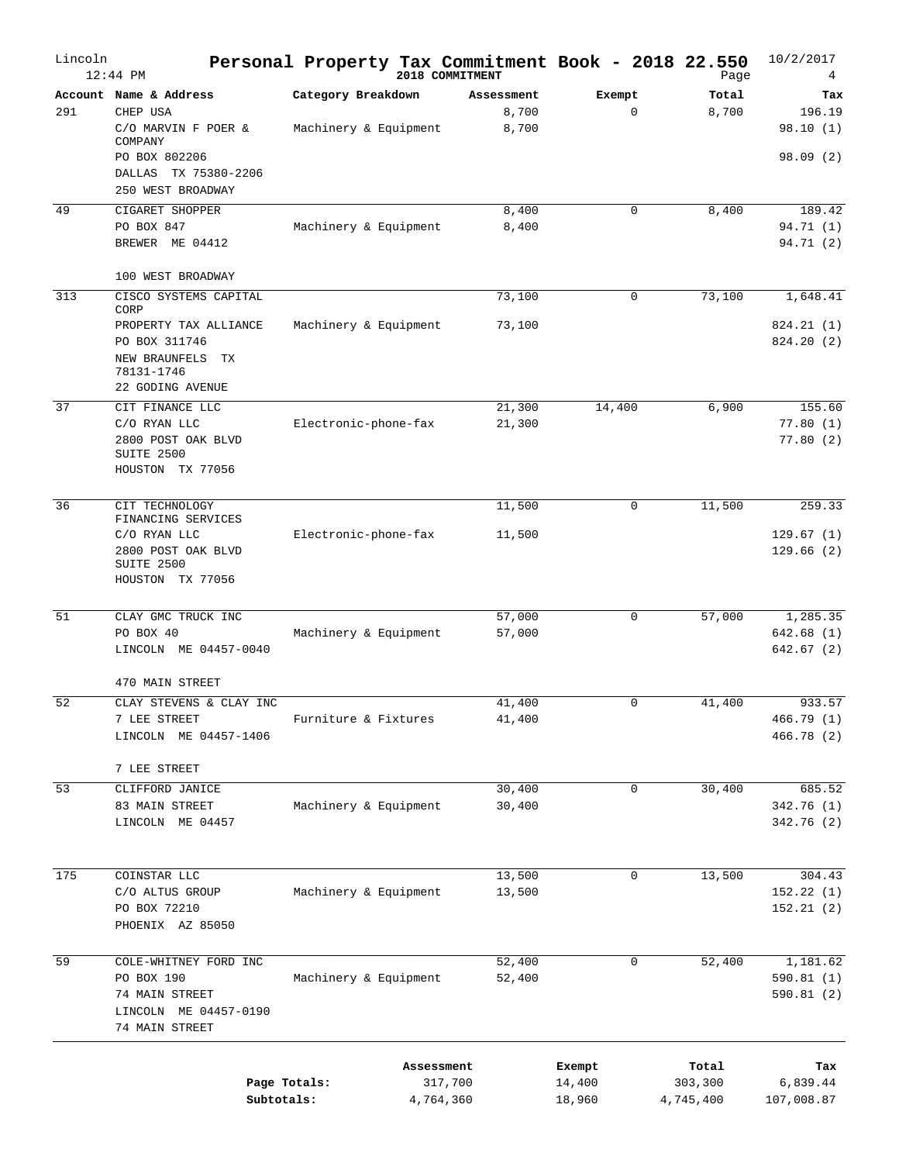| Lincoln | $12:44$ PM                                                                                      |                       |            | Personal Property Tax Commitment Book - 2018 22.550<br>2018 COMMITMENT |                  | Page                 | 10/2/2017<br>4           |
|---------|-------------------------------------------------------------------------------------------------|-----------------------|------------|------------------------------------------------------------------------|------------------|----------------------|--------------------------|
|         | Account Name & Address                                                                          | Category Breakdown    |            | Assessment                                                             | Exempt           | Total                | Tax                      |
| 291     | CHEP USA<br>C/O MARVIN F POER &<br>COMPANY                                                      | Machinery & Equipment |            | 8,700<br>8,700                                                         | $\mathbf 0$      | 8,700                | 196.19<br>98.10(1)       |
|         | PO BOX 802206<br>DALLAS<br>TX 75380-2206<br>250 WEST BROADWAY                                   |                       |            |                                                                        |                  |                      | 98.09(2)                 |
| 49      | CIGARET SHOPPER                                                                                 |                       |            | 8,400                                                                  | 0                | 8,400                | 189.42                   |
|         | PO BOX 847<br>BREWER ME 04412                                                                   | Machinery & Equipment |            | 8,400                                                                  |                  |                      | 94.71 (1)<br>94.71 (2)   |
|         | 100 WEST BROADWAY                                                                               |                       |            |                                                                        |                  |                      |                          |
| 313     | CISCO SYSTEMS CAPITAL<br>CORP                                                                   |                       |            | 73,100                                                                 | 0                | 73,100               | 1,648.41                 |
|         | PROPERTY TAX ALLIANCE<br>PO BOX 311746<br>NEW BRAUNFELS<br>ТX<br>78131-1746<br>22 GODING AVENUE | Machinery & Equipment |            | 73,100                                                                 |                  |                      | 824.21 (1)<br>824.20(2)  |
| 37      | CIT FINANCE LLC                                                                                 |                       |            | 21,300                                                                 | 14,400           | 6,900                | 155.60                   |
|         | C/O RYAN LLC<br>2800 POST OAK BLVD<br>SUITE 2500<br>HOUSTON TX 77056                            | Electronic-phone-fax  |            | 21,300                                                                 |                  |                      | 77.80(1)<br>77.80(2)     |
| 36      | CIT TECHNOLOGY                                                                                  |                       |            | 11,500                                                                 | 0                | 11,500               | 259.33                   |
|         | FINANCING SERVICES<br>C/O RYAN LLC                                                              | Electronic-phone-fax  |            | 11,500                                                                 |                  |                      | 129.67(1)                |
|         | 2800 POST OAK BLVD<br>SUITE 2500<br>HOUSTON TX 77056                                            |                       |            |                                                                        |                  |                      | 129.66(2)                |
| 51      | CLAY GMC TRUCK INC                                                                              |                       |            | 57,000                                                                 | 0                | 57,000               | 1,285.35                 |
|         | PO BOX 40                                                                                       | Machinery & Equipment |            | 57,000                                                                 |                  |                      | 642.68(1)                |
|         | LINCOLN ME 04457-0040                                                                           |                       |            |                                                                        |                  |                      | 642.67 (2)               |
|         | 470 MAIN STREET                                                                                 |                       |            |                                                                        |                  |                      |                          |
| 52      | CLAY STEVENS & CLAY INC                                                                         |                       |            | 41,400                                                                 | 0                | 41,400               | 933.57                   |
|         | 7 LEE STREET<br>LINCOLN ME 04457-1406                                                           | Furniture & Fixtures  |            | 41,400                                                                 |                  |                      | 466.79 (1)<br>466.78 (2) |
|         | 7 LEE STREET                                                                                    |                       |            |                                                                        |                  |                      |                          |
| 53      | CLIFFORD JANICE                                                                                 |                       |            | 30,400                                                                 | 0                | 30,400               | 685.52                   |
|         | 83 MAIN STREET<br>LINCOLN ME 04457                                                              | Machinery & Equipment |            | 30,400                                                                 |                  |                      | 342.76 (1)<br>342.76(2)  |
| 175     | COINSTAR LLC                                                                                    |                       |            | 13,500                                                                 | 0                | 13,500               | 304.43                   |
|         | C/O ALTUS GROUP<br>PO BOX 72210<br>PHOENIX AZ 85050                                             | Machinery & Equipment |            | 13,500                                                                 |                  |                      | 152.22(1)<br>152.21(2)   |
| 59      | COLE-WHITNEY FORD INC                                                                           |                       |            | 52,400                                                                 | 0                | 52,400               | 1,181.62                 |
|         | PO BOX 190<br>74 MAIN STREET<br>LINCOLN ME 04457-0190<br>74 MAIN STREET                         | Machinery & Equipment |            | 52,400                                                                 |                  |                      | 590.81 (1)<br>590.81 (2) |
|         |                                                                                                 |                       | Assessment |                                                                        | Exempt           | Total                | Tax                      |
|         | Subtotals:                                                                                      | Page Totals:          | 4,764,360  | 317,700                                                                | 14,400<br>18,960 | 303,300<br>4,745,400 | 6,839.44<br>107,008.87   |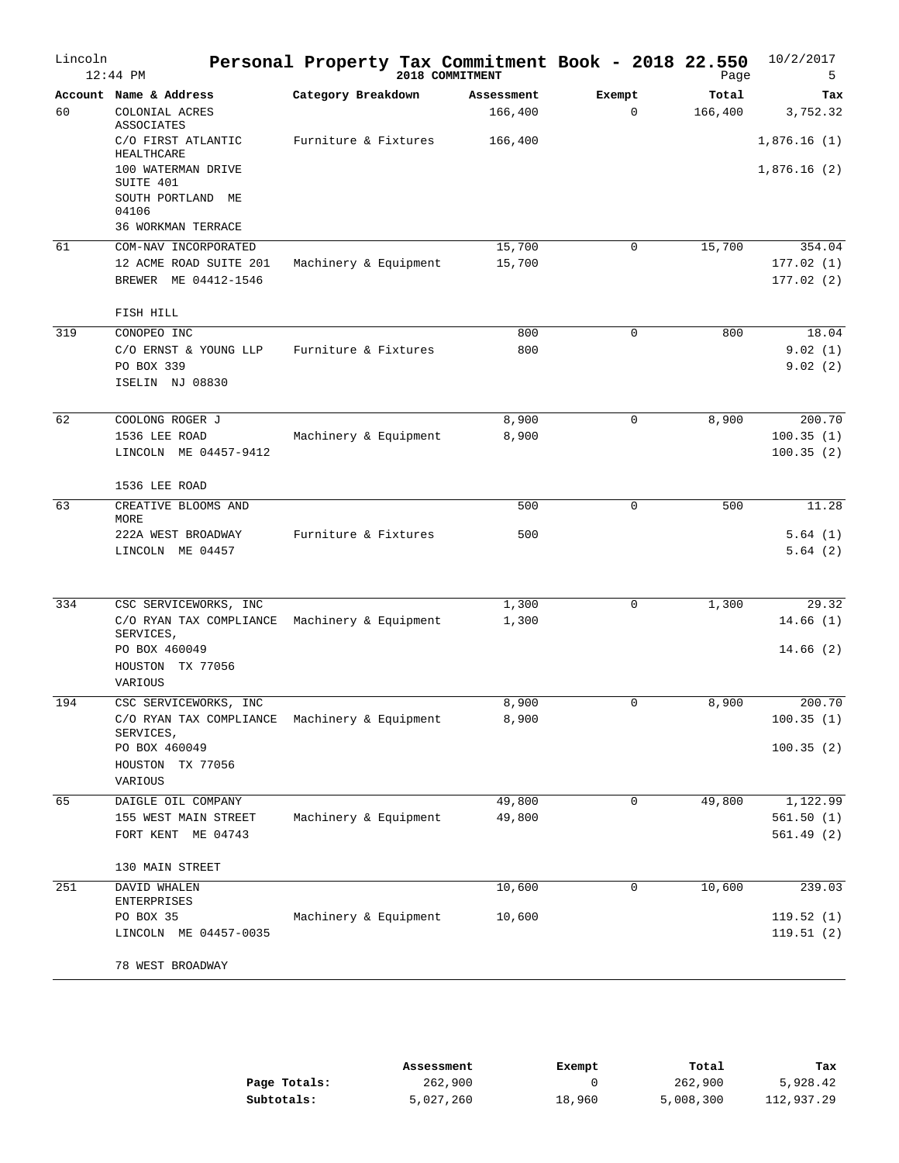| Lincoln | $12:44$ PM                                                            |                       | Personal Property Tax Commitment Book - 2018 22.550<br>2018 COMMITMENT |                       | Page             | 10/2/2017<br>5              |
|---------|-----------------------------------------------------------------------|-----------------------|------------------------------------------------------------------------|-----------------------|------------------|-----------------------------|
| 60      | Account Name & Address<br>COLONIAL ACRES<br>ASSOCIATES                | Category Breakdown    | Assessment<br>166,400                                                  | Exempt<br>$\mathbf 0$ | Total<br>166,400 | Tax<br>3,752.32             |
|         | C/O FIRST ATLANTIC<br>HEALTHCARE<br>100 WATERMAN DRIVE                | Furniture & Fixtures  | 166,400                                                                |                       |                  | 1,876.16(1)<br>1,876.16(2)  |
|         | SUITE 401<br>SOUTH PORTLAND ME<br>04106<br>36 WORKMAN TERRACE         |                       |                                                                        |                       |                  |                             |
| 61      | COM-NAV INCORPORATED                                                  |                       | 15,700                                                                 | $\mathbf 0$           | 15,700           | 354.04                      |
|         | 12 ACME ROAD SUITE 201<br>BREWER ME 04412-1546                        | Machinery & Equipment | 15,700                                                                 |                       |                  | 177.02(1)<br>177.02(2)      |
|         | FISH HILL                                                             |                       |                                                                        |                       |                  |                             |
| 319     | CONOPEO INC<br>C/O ERNST & YOUNG LLP<br>PO BOX 339<br>ISELIN NJ 08830 | Furniture & Fixtures  | 800<br>800                                                             | 0                     | 800              | 18.04<br>9.02(1)<br>9.02(2) |
| 62      | COOLONG ROGER J                                                       |                       | 8,900                                                                  | $\mathbf 0$           | 8,900            | 200.70                      |
|         | 1536 LEE ROAD                                                         | Machinery & Equipment | 8,900                                                                  |                       |                  | 100.35(1)                   |
|         | LINCOLN ME 04457-9412                                                 |                       |                                                                        |                       |                  | 100.35(2)                   |
|         | 1536 LEE ROAD                                                         |                       |                                                                        |                       |                  |                             |
| 63      | CREATIVE BLOOMS AND<br>MORE                                           |                       | 500                                                                    | 0                     | 500              | 11.28                       |
|         | 222A WEST BROADWAY<br>LINCOLN ME 04457                                | Furniture & Fixtures  | 500                                                                    |                       |                  | 5.64(1)<br>5.64(2)          |
| 334     | CSC SERVICEWORKS, INC                                                 |                       | 1,300                                                                  | $\mathbf 0$           | 1,300            | 29.32                       |
|         | C/O RYAN TAX COMPLIANCE<br>SERVICES,                                  | Machinery & Equipment | 1,300                                                                  |                       |                  | 14.66(1)                    |
|         | PO BOX 460049<br>HOUSTON TX 77056<br>VARIOUS                          |                       |                                                                        |                       |                  | 14.66(2)                    |
| 194     | CSC SERVICEWORKS, INC                                                 |                       | 8,900                                                                  | $\mathbf 0$           | 8,900            | 200.70                      |
|         | C/O RYAN TAX COMPLIANCE<br>SERVICES,                                  | Machinery & Equipment | 8,900                                                                  |                       |                  | 100.35(1)                   |
|         | PO BOX 460049<br>HOUSTON TX 77056                                     |                       |                                                                        |                       |                  | 100.35(2)                   |
|         | VARIOUS                                                               |                       |                                                                        |                       |                  |                             |
| 65      | DAIGLE OIL COMPANY<br>155 WEST MAIN STREET                            | Machinery & Equipment | 49,800<br>49,800                                                       | 0                     | 49,800           | 1,122.99<br>561.50(1)       |
|         | FORT KENT ME 04743                                                    |                       |                                                                        |                       |                  | 561.49(2)                   |
|         | 130 MAIN STREET                                                       |                       |                                                                        |                       |                  |                             |
| 251     | DAVID WHALEN<br>ENTERPRISES                                           |                       | 10,600                                                                 | 0                     | 10,600           | 239.03                      |
|         | PO BOX 35<br>LINCOLN ME 04457-0035                                    | Machinery & Equipment | 10,600                                                                 |                       |                  | 119.52(1)<br>119.51(2)      |
|         | 78 WEST BROADWAY                                                      |                       |                                                                        |                       |                  |                             |

|              | Assessment | Exempt | Total     | Tax        |
|--------------|------------|--------|-----------|------------|
| Page Totals: | 262,900    |        | 262,900   | 5,928.42   |
| Subtotals:   | 5,027,260  | 18,960 | 5,008,300 | 112,937.29 |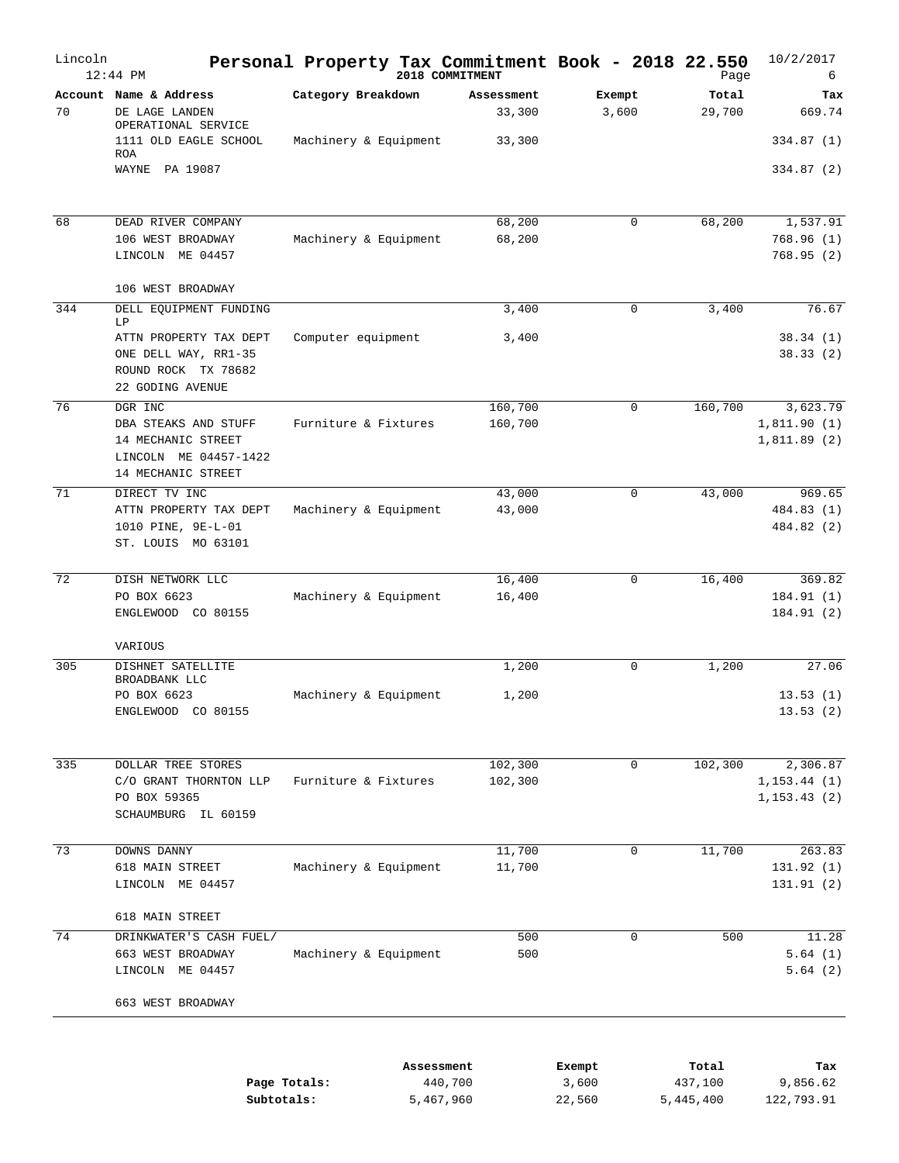| Lincoln | $12:44$ PM                                                                                | Personal Property Tax Commitment Book - 2018 22.550 | 2018 COMMITMENT      |                      |                 | Page                 | 10/2/2017<br>6               |
|---------|-------------------------------------------------------------------------------------------|-----------------------------------------------------|----------------------|----------------------|-----------------|----------------------|------------------------------|
| 70      | Account Name & Address<br>DE LAGE LANDEN<br>OPERATIONAL SERVICE                           | Category Breakdown                                  |                      | Assessment<br>33,300 | Exempt<br>3,600 | Total<br>29,700      | Tax<br>669.74                |
|         | 1111 OLD EAGLE SCHOOL<br><b>ROA</b>                                                       | Machinery & Equipment                               |                      | 33,300               |                 |                      | 334.87 (1)                   |
|         | WAYNE PA 19087                                                                            |                                                     |                      |                      |                 |                      | 334.87 (2)                   |
| 68      | DEAD RIVER COMPANY                                                                        |                                                     |                      | 68,200               | 0               | 68,200               | 1,537.91                     |
|         | 106 WEST BROADWAY<br>LINCOLN ME 04457                                                     | Machinery & Equipment                               |                      | 68,200               |                 |                      | 768.96 (1)<br>768.95 (2)     |
|         | 106 WEST BROADWAY                                                                         |                                                     |                      |                      |                 |                      |                              |
| 344     | DELL EQUIPMENT FUNDING<br>LP                                                              |                                                     |                      | 3,400                | $\mathbf 0$     | 3,400                | 76.67                        |
|         | ATTN PROPERTY TAX DEPT<br>ONE DELL WAY, RR1-35<br>ROUND ROCK TX 78682<br>22 GODING AVENUE | Computer equipment                                  |                      | 3,400                |                 |                      | 38.34(1)<br>38.33(2)         |
| 76      | DGR INC                                                                                   |                                                     |                      | 160,700              | 0               | 160,700              | 3,623.79                     |
|         | DBA STEAKS AND STUFF<br>14 MECHANIC STREET<br>LINCOLN ME 04457-1422<br>14 MECHANIC STREET | Furniture & Fixtures                                |                      | 160,700              |                 |                      | 1,811.90(1)<br>1,811.89(2)   |
| 71      | DIRECT TV INC                                                                             |                                                     |                      | 43,000               | 0               | 43,000               | 969.65                       |
|         | ATTN PROPERTY TAX DEPT<br>1010 PINE, 9E-L-01<br>ST. LOUIS MO 63101                        | Machinery & Equipment                               |                      | 43,000               |                 |                      | 484.83 (1)<br>484.82 (2)     |
| 72      | DISH NETWORK LLC                                                                          |                                                     |                      | 16,400               | 0               | 16,400               | 369.82                       |
|         | PO BOX 6623<br>ENGLEWOOD CO 80155                                                         | Machinery & Equipment                               |                      | 16,400               |                 |                      | 184.91 (1)<br>184.91(2)      |
|         | VARIOUS                                                                                   |                                                     |                      |                      |                 |                      |                              |
| 305     | DISHNET SATELLITE<br>BROADBANK LLC                                                        |                                                     |                      | 1,200                | 0               | 1,200                | 27.06                        |
|         | PO BOX 6623<br>ENGLEWOOD CO 80155                                                         | Machinery & Equipment                               |                      | 1,200                |                 |                      | 13.53(1)<br>13.53(2)         |
| 335     | DOLLAR TREE STORES                                                                        |                                                     |                      | 102,300              | 0               | 102,300              | 2,306.87                     |
|         | C/O GRANT THORNTON LLP<br>PO BOX 59365<br>SCHAUMBURG IL 60159                             | Furniture & Fixtures                                |                      | 102,300              |                 |                      | 1, 153.44(1)<br>1, 153.43(2) |
| 73      | DOWNS DANNY                                                                               |                                                     |                      | 11,700               | 0               | 11,700               | 263.83                       |
|         | 618 MAIN STREET<br>LINCOLN ME 04457                                                       | Machinery & Equipment                               |                      | 11,700               |                 |                      | 131.92(1)<br>131.91 (2)      |
|         | 618 MAIN STREET                                                                           |                                                     |                      |                      |                 |                      |                              |
| 74      | DRINKWATER'S CASH FUEL/<br>663 WEST BROADWAY<br>LINCOLN ME 04457                          | Machinery & Equipment                               |                      | 500<br>500           | 0               | 500                  | 11.28<br>5.64(1)<br>5.64(2)  |
|         | 663 WEST BROADWAY                                                                         |                                                     |                      |                      |                 |                      |                              |
|         |                                                                                           |                                                     | Assessment           |                      | Exempt          | Total                | Tax                          |
|         |                                                                                           | Page Totals:<br>Subtotals:                          | 440,700<br>5,467,960 |                      | 3,600<br>22,560 | 437,100<br>5,445,400 | 9,856.62<br>122,793.91       |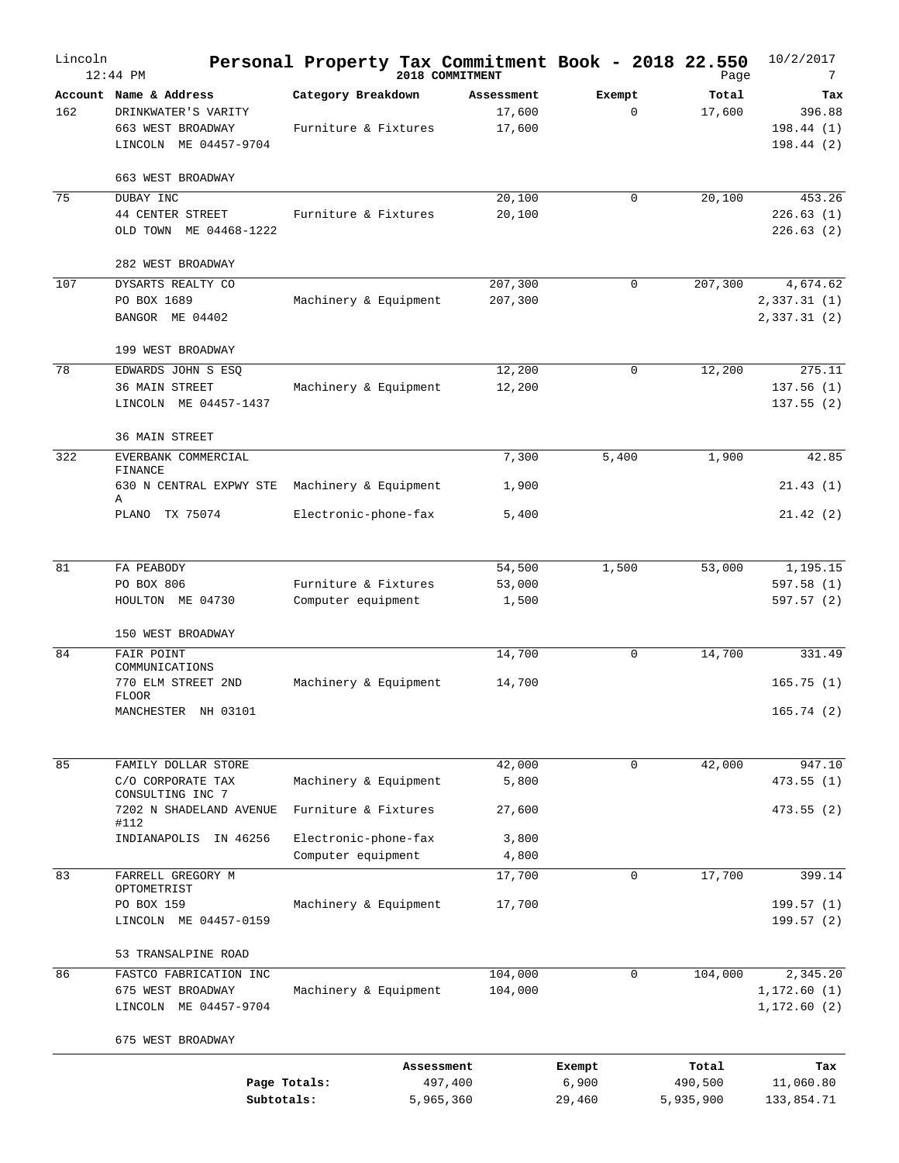| Lincoln | $12:44$ PM                                                                                  |                                            |            | Personal Property Tax Commitment Book - 2018 22.550<br>2018 COMMITMENT |                       | Page                 | 10/2/2017<br>7                          |
|---------|---------------------------------------------------------------------------------------------|--------------------------------------------|------------|------------------------------------------------------------------------|-----------------------|----------------------|-----------------------------------------|
| 162     | Account Name & Address<br>DRINKWATER'S VARITY<br>663 WEST BROADWAY<br>LINCOLN ME 04457-9704 | Category Breakdown<br>Furniture & Fixtures |            | Assessment<br>17,600<br>17,600                                         | Exempt<br>$\mathbf 0$ | Total<br>17,600      | Tax<br>396.88<br>198.44(1)<br>198.44(2) |
|         | 663 WEST BROADWAY                                                                           |                                            |            |                                                                        |                       |                      |                                         |
| 75      | DUBAY INC<br>44 CENTER STREET<br>ME 04468-1222<br>OLD TOWN                                  | Furniture & Fixtures                       |            | 20,100<br>20,100                                                       | $\Omega$              | 20,100               | 453.26<br>226.63(1)<br>226.63(2)        |
|         | 282 WEST BROADWAY                                                                           |                                            |            |                                                                        |                       |                      |                                         |
| 107     | DYSARTS REALTY CO<br>PO BOX 1689<br>BANGOR ME 04402                                         | Machinery & Equipment                      |            | 207,300<br>207,300                                                     | 0                     | 207,300              | 4,674.62<br>2,337.31(1)<br>2,337.31(2)  |
|         | 199 WEST BROADWAY                                                                           |                                            |            |                                                                        |                       |                      |                                         |
| 78      | EDWARDS JOHN S ESQ<br>36 MAIN STREET<br>LINCOLN ME 04457-1437                               | Machinery & Equipment                      |            | 12,200<br>12,200                                                       | $\mathbf 0$           | 12,200               | 275.11<br>137.56(1)<br>137.55(2)        |
| 322     | 36 MAIN STREET<br>EVERBANK COMMERCIAL                                                       |                                            |            | 7,300                                                                  | 5,400                 | 1,900                | 42.85                                   |
|         | FINANCE<br>630 N CENTRAL EXPWY STE                                                          | Machinery & Equipment                      |            | 1,900                                                                  |                       |                      | 21.43(1)                                |
|         | Α<br>PLANO TX 75074                                                                         | Electronic-phone-fax                       |            | 5,400                                                                  |                       |                      | 21.42(2)                                |
| 81      | FA PEABODY                                                                                  |                                            |            | 54,500                                                                 | 1,500                 | 53,000               | 1,195.15                                |
|         | PO BOX 806                                                                                  | Furniture & Fixtures                       |            | 53,000                                                                 |                       |                      | 597.58(1)                               |
|         | HOULTON ME 04730                                                                            | Computer equipment                         |            | 1,500                                                                  |                       |                      | 597.57(2)                               |
|         | 150 WEST BROADWAY                                                                           |                                            |            |                                                                        |                       |                      |                                         |
| 84      | FAIR POINT<br>COMMUNICATIONS                                                                |                                            |            | 14,700                                                                 | $\mathbf 0$           | 14,700               | 331.49                                  |
|         | 770 ELM STREET 2ND<br><b>FLOOR</b>                                                          | Machinery & Equipment                      |            | 14,700                                                                 |                       |                      | 165.75(1)                               |
|         | MANCHESTER NH 03101                                                                         |                                            |            |                                                                        |                       |                      | 165.74(2)                               |
| 85      | FAMILY DOLLAR STORE                                                                         |                                            |            | 42,000                                                                 | 0                     | 42,000               | 947.10                                  |
|         | C/O CORPORATE TAX<br>CONSULTING INC 7                                                       | Machinery & Equipment                      |            | 5,800                                                                  |                       |                      | 473.55(1)                               |
|         | 7202 N SHADELAND AVENUE<br>#112                                                             | Furniture & Fixtures                       |            | 27,600                                                                 |                       |                      | 473.55 (2)                              |
|         | INDIANAPOLIS IN 46256                                                                       | Electronic-phone-fax<br>Computer equipment |            | 3,800<br>4,800                                                         |                       |                      |                                         |
| 83      | FARRELL GREGORY M                                                                           |                                            |            | 17,700                                                                 | $\mathbf 0$           | 17,700               | 399.14                                  |
|         | OPTOMETRIST                                                                                 |                                            |            |                                                                        |                       |                      |                                         |
|         | PO BOX 159<br>LINCOLN ME 04457-0159                                                         | Machinery & Equipment                      |            | 17,700                                                                 |                       |                      | 199.57(1)<br>199.57(2)                  |
|         | 53 TRANSALPINE ROAD                                                                         |                                            |            |                                                                        |                       |                      |                                         |
| 86      | FASTCO FABRICATION INC                                                                      |                                            |            | 104,000                                                                | $\mathbf 0$           | 104,000              | 2,345.20                                |
|         | 675 WEST BROADWAY<br>LINCOLN ME 04457-9704                                                  | Machinery & Equipment                      |            | 104,000                                                                |                       |                      | 1,172.60(1)<br>1,172.60(2)              |
|         | 675 WEST BROADWAY                                                                           |                                            |            |                                                                        |                       |                      |                                         |
|         |                                                                                             |                                            | Assessment |                                                                        | Exempt                | Total                | Tax                                     |
|         | Subtotals:                                                                                  | Page Totals:                               |            | 497,400<br>5,965,360                                                   | 6,900<br>29,460       | 490,500<br>5,935,900 | 11,060.80<br>133,854.71                 |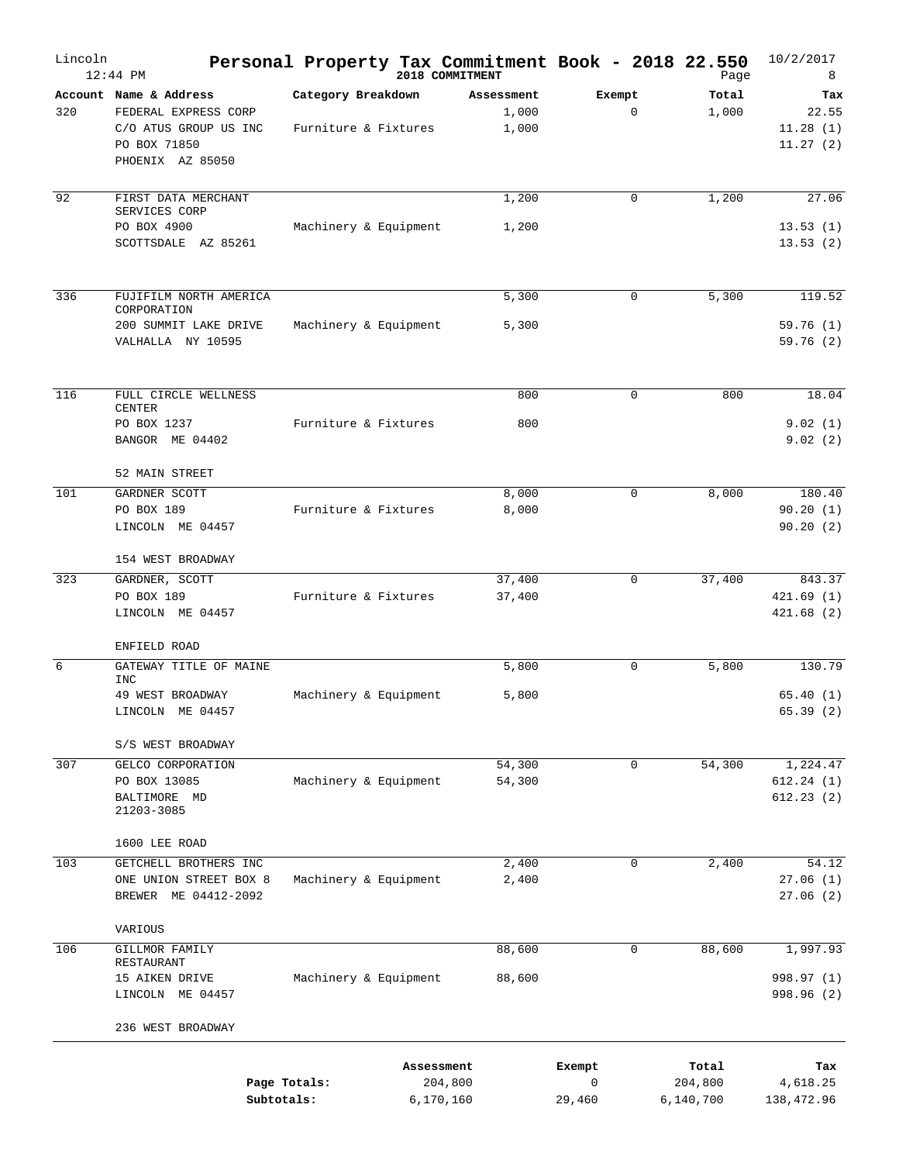| Lincoln | $12:44$ PM                                                                                                  |                                            |            | Personal Property Tax Commitment Book - 2018 22.550<br>2018 COMMITMENT |                       |             | Page                          | 10/2/2017<br>8                       |
|---------|-------------------------------------------------------------------------------------------------------------|--------------------------------------------|------------|------------------------------------------------------------------------|-----------------------|-------------|-------------------------------|--------------------------------------|
| 320     | Account Name & Address<br>FEDERAL EXPRESS CORP<br>C/O ATUS GROUP US INC<br>PO BOX 71850<br>PHOENIX AZ 85050 | Category Breakdown<br>Furniture & Fixtures |            | Assessment<br>1,000<br>1,000                                           | Exempt                | $\mathbf 0$ | Total<br>1,000                | Tax<br>22.55<br>11.28(1)<br>11.27(2) |
| 92      | FIRST DATA MERCHANT<br>SERVICES CORP<br>PO BOX 4900<br>SCOTTSDALE AZ 85261                                  | Machinery & Equipment                      |            | 1,200<br>1,200                                                         |                       | $\mathbf 0$ | 1,200                         | 27.06<br>13.53(1)<br>13.53(2)        |
| 336     | FUJIFILM NORTH AMERICA<br>CORPORATION<br>200 SUMMIT LAKE DRIVE<br>VALHALLA NY 10595                         | Machinery & Equipment                      |            | 5,300<br>5,300                                                         |                       | 0           | 5,300                         | 119.52<br>59.76 (1)<br>59.76(2)      |
| 116     | FULL CIRCLE WELLNESS<br><b>CENTER</b><br>PO BOX 1237<br>BANGOR ME 04402                                     | Furniture & Fixtures                       |            | 800<br>800                                                             |                       | 0           | 800                           | 18.04<br>9.02(1)<br>9.02(2)          |
| 101     | 52 MAIN STREET<br>GARDNER SCOTT<br>PO BOX 189<br>LINCOLN ME 04457                                           | Furniture & Fixtures                       |            | 8,000<br>8,000                                                         |                       | 0           | 8,000                         | 180.40<br>90.20(1)<br>90.20(2)       |
| 323     | 154 WEST BROADWAY<br>GARDNER, SCOTT<br>PO BOX 189<br>LINCOLN ME 04457                                       | Furniture & Fixtures                       |            | 37,400<br>37,400                                                       |                       | $\mathbf 0$ | 37,400                        | 843.37<br>421.69(1)<br>421.68(2)     |
| 6       | ENFIELD ROAD<br>GATEWAY TITLE OF MAINE<br><b>INC</b><br>49 WEST BROADWAY<br>LINCOLN ME 04457                | Machinery & Equipment                      |            | 5,800<br>5,800                                                         |                       | $\mathbf 0$ | 5,800                         | 130.79<br>65.40(1)<br>65.39 (2)      |
| 307     | S/S WEST BROADWAY<br>GELCO CORPORATION<br>PO BOX 13085<br>BALTIMORE MD                                      | Machinery & Equipment                      |            | 54,300<br>54,300                                                       |                       | 0           | 54,300                        | 1,224.47<br>612.24(1)<br>612.23(2)   |
| 103     | 21203-3085<br>1600 LEE ROAD<br>GETCHELL BROTHERS INC<br>ONE UNION STREET BOX 8                              | Machinery & Equipment                      |            | 2,400<br>2,400                                                         |                       | $\mathbf 0$ | 2,400                         | 54.12<br>27.06(1)                    |
| 106     | BREWER ME 04412-2092<br>VARIOUS<br>GILLMOR FAMILY<br>RESTAURANT<br>15 AIKEN DRIVE                           | Machinery & Equipment                      |            | 88,600<br>88,600                                                       |                       | $\mathbf 0$ | 88,600                        | 27.06(2)<br>1,997.93<br>998.97 (1)   |
|         | LINCOLN ME 04457<br>236 WEST BROADWAY                                                                       |                                            |            |                                                                        |                       |             |                               | 998.96 (2)                           |
|         | Page Totals:<br>Subtotals:                                                                                  |                                            | Assessment | 204,800<br>6,170,160                                                   | Exempt<br>0<br>29,460 |             | Total<br>204,800<br>6,140,700 | Tax<br>4,618.25<br>138,472.96        |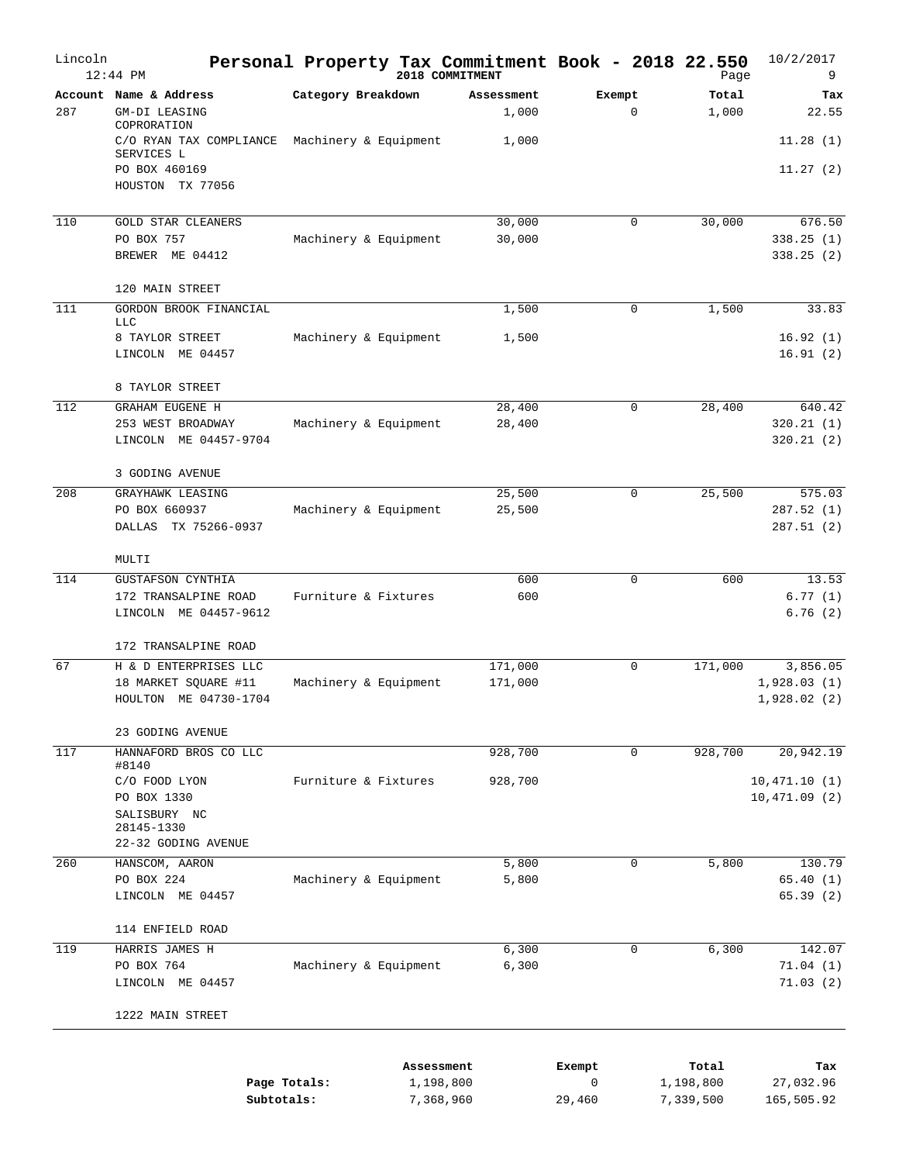| Lincoln | $12:44$ PM                                                                |                            | Personal Property Tax Commitment Book - 2018 22.550<br>2018 COMMITMENT |                       | Page                   | 10/2/2017<br>9               |
|---------|---------------------------------------------------------------------------|----------------------------|------------------------------------------------------------------------|-----------------------|------------------------|------------------------------|
| 287     | Account Name & Address<br>GM-DI LEASING                                   | Category Breakdown         | Assessment<br>1,000                                                    | Exempt<br>$\mathbf 0$ | Total<br>1,000         | Tax<br>22.55                 |
|         | COPRORATION<br>C/O RYAN TAX COMPLIANCE<br>SERVICES L                      | Machinery & Equipment      | 1,000                                                                  |                       |                        | 11.28(1)                     |
|         | PO BOX 460169<br>HOUSTON TX 77056                                         |                            |                                                                        |                       |                        | 11.27(2)                     |
| 110     | <b>GOLD STAR CLEANERS</b>                                                 |                            | 30,000                                                                 | $\mathbf 0$           | 30,000                 | 676.50                       |
|         | PO BOX 757<br>BREWER ME 04412                                             | Machinery & Equipment      | 30,000                                                                 |                       |                        | 338.25(1)<br>338.25(2)       |
|         | 120 MAIN STREET                                                           |                            |                                                                        |                       |                        |                              |
| 111     | GORDON BROOK FINANCIAL<br><b>LLC</b>                                      |                            | 1,500                                                                  | $\mathbf 0$           | 1,500                  | 33.83                        |
|         | 8 TAYLOR STREET<br>LINCOLN ME 04457                                       | Machinery & Equipment      | 1,500                                                                  |                       |                        | 16.92(1)<br>16.91(2)         |
|         | 8 TAYLOR STREET                                                           |                            |                                                                        |                       |                        |                              |
| 112     | <b>GRAHAM EUGENE H</b>                                                    |                            | 28,400                                                                 | $\mathbf 0$           | 28,400                 | 640.42                       |
|         | 253 WEST BROADWAY<br>LINCOLN ME 04457-9704                                | Machinery & Equipment      | 28,400                                                                 |                       |                        | 320.21(1)<br>320.21(2)       |
|         | 3 GODING AVENUE                                                           |                            |                                                                        |                       |                        |                              |
| 208     | GRAYHAWK LEASING<br>PO BOX 660937                                         |                            | 25,500                                                                 | 0                     | 25,500                 | 575.03<br>287.52(1)          |
|         | DALLAS TX 75266-0937                                                      | Machinery & Equipment      | 25,500                                                                 |                       |                        | 287.51(2)                    |
|         | MULTI                                                                     |                            |                                                                        |                       |                        |                              |
| 114     | <b>GUSTAFSON CYNTHIA</b><br>172 TRANSALPINE ROAD<br>LINCOLN ME 04457-9612 | Furniture & Fixtures       | 600<br>600                                                             | 0                     | 600                    | 13.53<br>6.77(1)<br>6.76(2)  |
|         | 172 TRANSALPINE ROAD                                                      |                            |                                                                        |                       |                        |                              |
| 67      | H & D ENTERPRISES LLC                                                     |                            | 171,000                                                                | $\mathbf 0$           | 171,000                | 3,856.05                     |
|         | 18 MARKET SQUARE #11<br>HOULTON ME 04730-1704                             | Machinery & Equipment      | 171,000                                                                |                       |                        | 1,928.03(1)<br>1,928.02(2)   |
|         | 23 GODING AVENUE                                                          |                            |                                                                        |                       |                        |                              |
| 117     | HANNAFORD BROS CO LLC<br>#8140                                            |                            | 928,700                                                                | 0                     | 928,700                | 20,942.19                    |
|         | C/O FOOD LYON<br>PO BOX 1330                                              | Furniture & Fixtures       | 928,700                                                                |                       |                        | 10,471.10(1)<br>10,471.09(2) |
|         | SALISBURY NC<br>28145-1330<br>22-32 GODING AVENUE                         |                            |                                                                        |                       |                        |                              |
| 260     | HANSCOM, AARON                                                            |                            | 5,800                                                                  | $\mathbf 0$           | 5,800                  | 130.79                       |
|         | PO BOX 224<br>LINCOLN ME 04457                                            | Machinery & Equipment      | 5,800                                                                  |                       |                        | 65.40 (1)<br>65.39(2)        |
|         | 114 ENFIELD ROAD                                                          |                            |                                                                        |                       |                        |                              |
| 119     | HARRIS JAMES H                                                            |                            | 6,300                                                                  | $\mathbf 0$           | 6,300                  | 142.07                       |
|         | PO BOX 764<br>LINCOLN ME 04457                                            | Machinery & Equipment      | 6,300                                                                  |                       |                        | 71.04(1)<br>71.03(2)         |
|         | 1222 MAIN STREET                                                          |                            |                                                                        |                       |                        |                              |
|         |                                                                           |                            | Assessment                                                             | Exempt                | Total                  | Tax                          |
|         |                                                                           | Page Totals:<br>Subtotals: | 1,198,800<br>7,368,960                                                 | $\mathbf 0$<br>29,460 | 1,198,800<br>7,339,500 | 27,032.96<br>165,505.92      |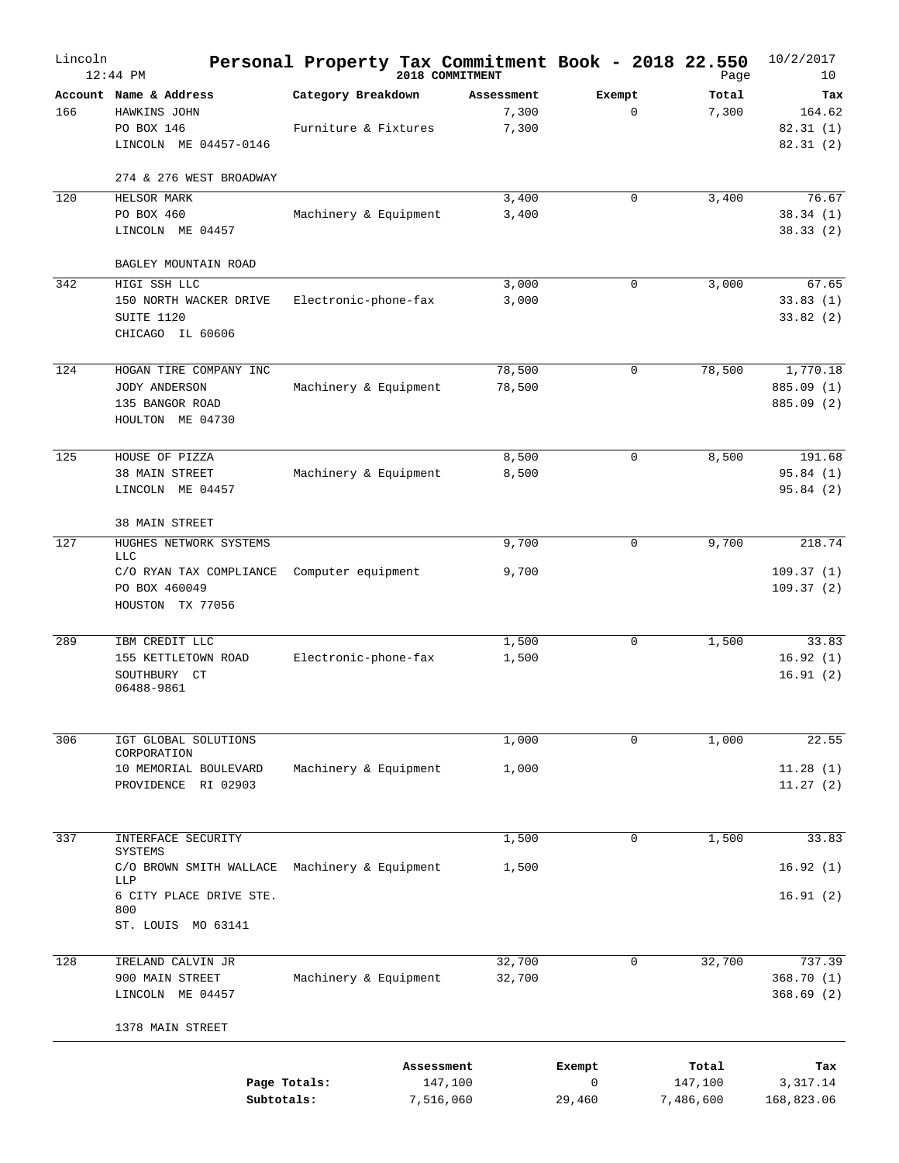| Lincoln | $12:44$ PM                                                                     |                                            |            | Personal Property Tax Commitment Book - 2018 22.550<br>2018 COMMITMENT |             |             | Page                 | 10/2/2017<br>10                       |
|---------|--------------------------------------------------------------------------------|--------------------------------------------|------------|------------------------------------------------------------------------|-------------|-------------|----------------------|---------------------------------------|
| 166     | Account Name & Address<br>HAWKINS JOHN<br>PO BOX 146<br>LINCOLN ME 04457-0146  | Category Breakdown<br>Furniture & Fixtures |            | Assessment<br>7,300<br>7,300                                           | Exempt      | $\mathbf 0$ | Total<br>7,300       | Tax<br>164.62<br>82.31(1)<br>82.31(2) |
|         | 274 & 276 WEST BROADWAY                                                        |                                            |            |                                                                        |             |             |                      |                                       |
| 120     | HELSOR MARK<br>PO BOX 460<br>LINCOLN ME 04457                                  | Machinery & Equipment                      |            | 3,400<br>3,400                                                         |             | $\mathbf 0$ | 3,400                | 76.67<br>38.34(1)<br>38.33(2)         |
|         | BAGLEY MOUNTAIN ROAD                                                           |                                            |            |                                                                        |             |             |                      |                                       |
| 342     | HIGI SSH LLC<br>150 NORTH WACKER DRIVE<br>SUITE 1120<br>CHICAGO IL 60606       | Electronic-phone-fax                       |            | 3,000<br>3,000                                                         |             | $\mathbf 0$ | 3,000                | 67.65<br>33.83(1)<br>33.82(2)         |
| 124     | HOGAN TIRE COMPANY INC<br>JODY ANDERSON<br>135 BANGOR ROAD<br>HOULTON ME 04730 | Machinery & Equipment                      |            | 78,500<br>78,500                                                       |             | $\mathbf 0$ | 78,500               | 1,770.18<br>885.09 (1)<br>885.09 (2)  |
| 125     | HOUSE OF PIZZA                                                                 |                                            |            | 8,500                                                                  |             | $\mathbf 0$ | 8,500                | 191.68                                |
|         | 38 MAIN STREET<br>LINCOLN ME 04457                                             | Machinery & Equipment                      |            | 8,500                                                                  |             |             |                      | 95.84(1)<br>95.84(2)                  |
|         | 38 MAIN STREET                                                                 |                                            |            |                                                                        |             |             |                      |                                       |
| 127     | HUGHES NETWORK SYSTEMS<br><b>LLC</b>                                           |                                            |            | 9,700                                                                  |             | 0           | 9,700                | 218.74                                |
|         | C/O RYAN TAX COMPLIANCE<br>PO BOX 460049<br>HOUSTON TX 77056                   | Computer equipment                         |            | 9,700                                                                  |             |             |                      | 109.37(1)<br>109.37(2)                |
| 289     | IBM CREDIT LLC<br>155 KETTLETOWN ROAD<br>SOUTHBURY CT<br>06488-9861            | Electronic-phone-fax                       |            | 1,500<br>1,500                                                         |             | $\mathbf 0$ | 1,500                | 33.83<br>16.92(1)<br>16.91(2)         |
| 306     | IGT GLOBAL SOLUTIONS                                                           |                                            |            | 1,000                                                                  |             | 0           | 1,000                | 22.55                                 |
|         | CORPORATION<br>10 MEMORIAL BOULEVARD<br>PROVIDENCE RI 02903                    | Machinery & Equipment                      |            | 1,000                                                                  |             |             |                      | 11.28(1)<br>11.27(2)                  |
| 337     | INTERFACE SECURITY                                                             |                                            |            | 1,500                                                                  |             | 0           | 1,500                | 33.83                                 |
|         | SYSTEMS                                                                        |                                            |            |                                                                        |             |             |                      |                                       |
|         | C/O BROWN SMITH WALLACE<br>LLP                                                 | Machinery & Equipment                      |            | 1,500                                                                  |             |             |                      | 16.92(1)                              |
|         | 6 CITY PLACE DRIVE STE.<br>800<br>ST. LOUIS MO 63141                           |                                            |            |                                                                        |             |             |                      | 16.91(2)                              |
|         |                                                                                |                                            |            |                                                                        |             |             |                      |                                       |
| 128     | IRELAND CALVIN JR<br>900 MAIN STREET<br>LINCOLN ME 04457                       | Machinery & Equipment                      |            | 32,700<br>32,700                                                       |             | $\mathbf 0$ | 32,700               | 737.39<br>368.70(1)<br>368.69(2)      |
|         | 1378 MAIN STREET                                                               |                                            |            |                                                                        |             |             |                      |                                       |
|         |                                                                                |                                            | Assessment |                                                                        | Exempt      |             | Total                | Tax                                   |
|         | Subtotals:                                                                     | Page Totals:                               |            | 147,100<br>7,516,060                                                   | 0<br>29,460 |             | 147,100<br>7,486,600 | 3,317.14<br>168,823.06                |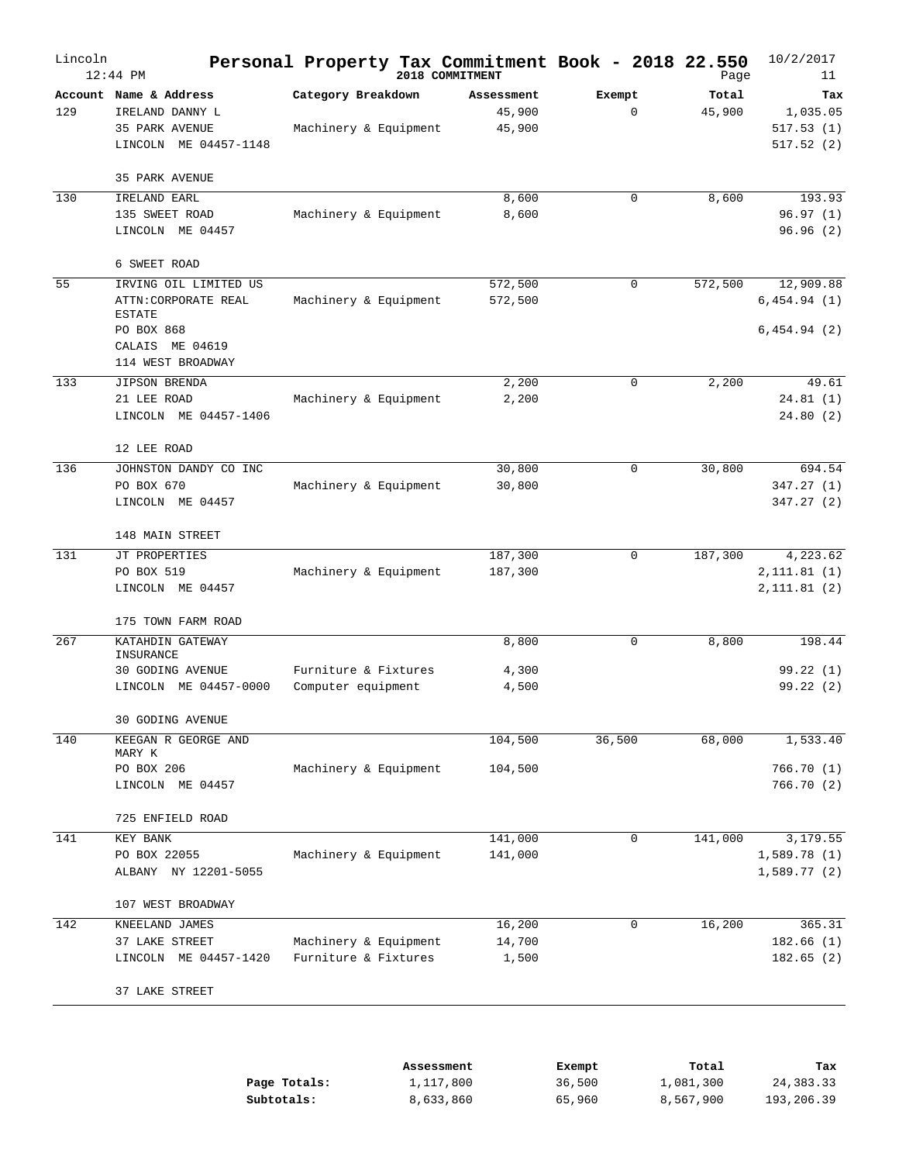| Lincoln | $12:44$ PM                                                                               | Personal Property Tax Commitment Book - 2018 22.550 | 2018 COMMITMENT                |                       | Page            | 10/2/2017<br>11                           |
|---------|------------------------------------------------------------------------------------------|-----------------------------------------------------|--------------------------------|-----------------------|-----------------|-------------------------------------------|
| 129     | Account Name & Address<br>IRELAND DANNY L<br>35 PARK AVENUE<br>LINCOLN ME 04457-1148     | Category Breakdown<br>Machinery & Equipment         | Assessment<br>45,900<br>45,900 | Exempt<br>$\mathbf 0$ | Total<br>45,900 | Tax<br>1,035.05<br>517.53(1)<br>517.52(2) |
| 130     | 35 PARK AVENUE<br>IRELAND EARL                                                           |                                                     | 8,600                          | 0                     | 8,600           | 193.93                                    |
|         | 135 SWEET ROAD<br>LINCOLN ME 04457                                                       | Machinery & Equipment                               | 8,600                          |                       |                 | 96.97(1)<br>96.96(2)                      |
|         | 6 SWEET ROAD                                                                             |                                                     |                                |                       |                 |                                           |
| 55      | IRVING OIL LIMITED US<br>ATTN: CORPORATE REAL<br>ESTATE<br>PO BOX 868<br>CALAIS ME 04619 | Machinery & Equipment                               | 572,500<br>572,500             | 0                     | 572,500         | 12,909.88<br>6,454.94(1)<br>6,454.94(2)   |
|         | 114 WEST BROADWAY                                                                        |                                                     |                                |                       |                 |                                           |
| 133     | JIPSON BRENDA<br>21 LEE ROAD<br>LINCOLN ME 04457-1406                                    | Machinery & Equipment                               | 2,200<br>2,200                 | 0                     | 2,200           | 49.61<br>24.81(1)<br>24.80(2)             |
|         | 12 LEE ROAD                                                                              |                                                     |                                |                       |                 |                                           |
| 136     | JOHNSTON DANDY CO INC<br>PO BOX 670<br>LINCOLN ME 04457                                  | Machinery & Equipment                               | 30,800<br>30,800               | $\mathbf 0$           | 30,800          | 694.54<br>347.27(1)<br>347.27(2)          |
|         | 148 MAIN STREET                                                                          |                                                     |                                |                       |                 |                                           |
| 131     | JT PROPERTIES<br>PO BOX 519<br>LINCOLN ME 04457                                          | Machinery & Equipment                               | 187,300<br>187,300             | 0                     | 187,300         | 4,223.62<br>2,111.81(1)<br>2,111.81(2)    |
|         | 175 TOWN FARM ROAD                                                                       |                                                     |                                |                       |                 |                                           |
| 267     | KATAHDIN GATEWAY<br>INSURANCE<br>30 GODING AVENUE                                        | Furniture & Fixtures                                | 8,800                          | 0                     | 8,800           | 198.44<br>99.22(1)                        |
|         | LINCOLN ME 04457-0000                                                                    | Computer equipment                                  | 4,300<br>4,500                 |                       |                 | 99.22(2)                                  |
|         | 30 GODING AVENUE                                                                         |                                                     |                                |                       |                 |                                           |
| 140     | KEEGAN R GEORGE AND<br>MARY K                                                            |                                                     | 104,500                        | 36,500                | 68,000          | 1,533.40                                  |
|         | PO BOX 206<br>LINCOLN ME 04457                                                           | Machinery & Equipment                               | 104,500                        |                       |                 | 766.70(1)<br>766.70 (2)                   |
|         | 725 ENFIELD ROAD                                                                         |                                                     |                                |                       |                 |                                           |
| 141     | KEY BANK<br>PO BOX 22055<br>ALBANY NY 12201-5055                                         | Machinery & Equipment                               | 141,000<br>141,000             | $\mathbf 0$           | 141,000         | 3,179.55<br>1,589.78(1)<br>1,589.77(2)    |
|         | 107 WEST BROADWAY                                                                        |                                                     |                                |                       |                 |                                           |
| 142     | KNEELAND JAMES<br>37 LAKE STREET<br>LINCOLN ME 04457-1420                                | Machinery & Equipment<br>Furniture & Fixtures       | 16,200<br>14,700<br>1,500      | 0                     | 16,200          | 365.31<br>182.66(1)<br>182.65(2)          |
|         | 37 LAKE STREET                                                                           |                                                     |                                |                       |                 |                                           |

|              | Assessment | Exempt | Total     | Tax        |
|--------------|------------|--------|-----------|------------|
| Page Totals: | 1,117,800  | 36,500 | 1,081,300 | 24,383.33  |
| Subtotals:   | 8,633,860  | 65,960 | 8,567,900 | 193,206.39 |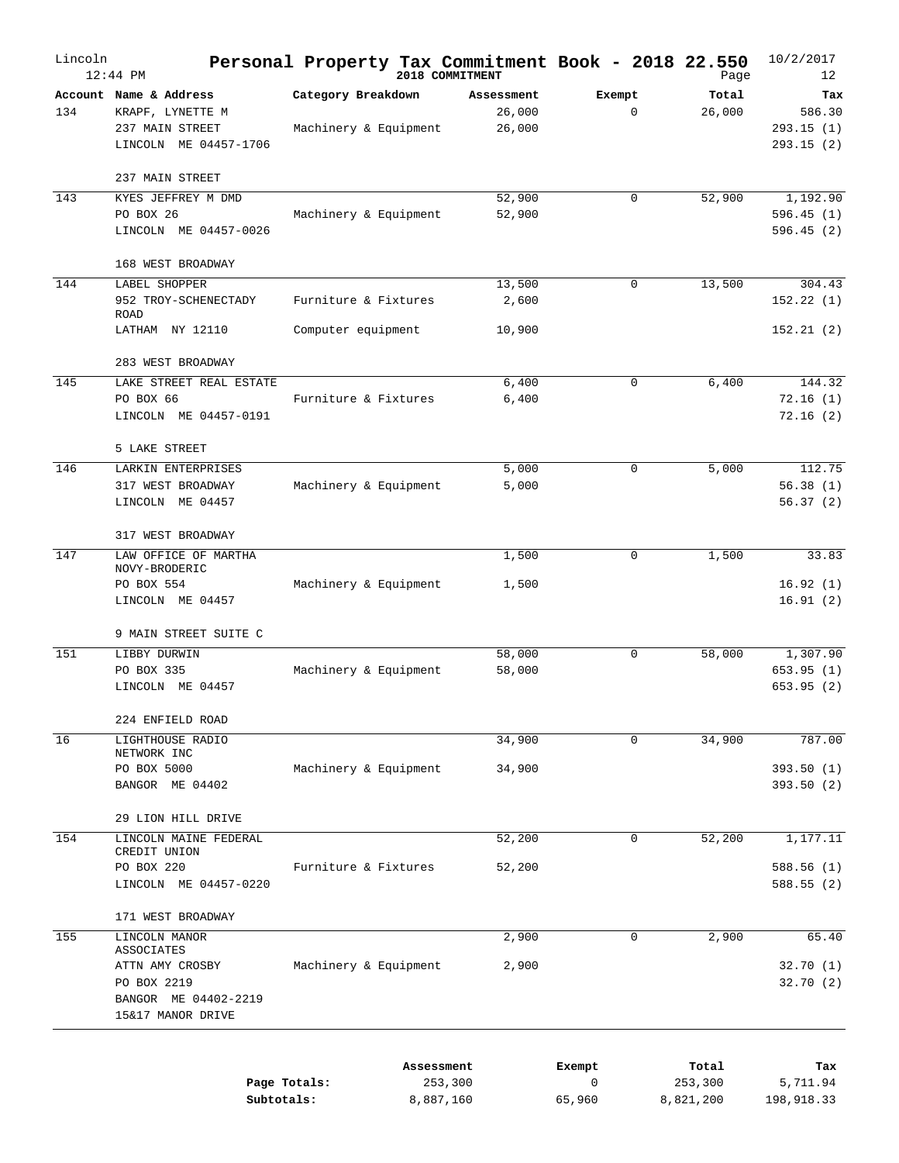| Lincoln | $12:44$ PM                                                                                |                                             |            | Personal Property Tax Commitment Book - 2018 22.550<br>2018 COMMITMENT |             |             | Page                 | 10/2/2017<br>12                         |
|---------|-------------------------------------------------------------------------------------------|---------------------------------------------|------------|------------------------------------------------------------------------|-------------|-------------|----------------------|-----------------------------------------|
| 134     | Account Name & Address<br>KRAPF, LYNETTE M<br>237 MAIN STREET<br>LINCOLN ME 04457-1706    | Category Breakdown<br>Machinery & Equipment |            | Assessment<br>26,000<br>26,000                                         | Exempt      | $\mathbf 0$ | Total<br>26,000      | Tax<br>586.30<br>293.15(1)<br>293.15(2) |
|         | 237 MAIN STREET                                                                           |                                             |            |                                                                        |             |             |                      |                                         |
| 143     | KYES JEFFREY M DMD<br>PO BOX 26<br>LINCOLN ME 04457-0026                                  | Machinery & Equipment                       |            | 52,900<br>52,900                                                       |             | $\mathbf 0$ | 52,900               | 1,192.90<br>596.45(1)<br>596.45(2)      |
|         | 168 WEST BROADWAY                                                                         |                                             |            |                                                                        |             |             |                      |                                         |
| 144     | LABEL SHOPPER<br>952 TROY-SCHENECTADY<br>ROAD                                             | Furniture & Fixtures                        |            | 13,500<br>2,600                                                        |             | $\mathbf 0$ | 13,500               | 304.43<br>152.22(1)                     |
|         | LATHAM NY 12110                                                                           | Computer equipment                          |            | 10,900                                                                 |             |             |                      | 152.21(2)                               |
|         | 283 WEST BROADWAY                                                                         |                                             |            |                                                                        |             |             |                      |                                         |
| 145     | LAKE STREET REAL ESTATE<br>PO BOX 66<br>LINCOLN ME 04457-0191                             | Furniture & Fixtures                        |            | 6,400<br>6,400                                                         |             | $\mathbf 0$ | 6,400                | 144.32<br>72.16(1)<br>72.16(2)          |
|         | 5 LAKE STREET                                                                             |                                             |            |                                                                        |             |             |                      |                                         |
| 146     | LARKIN ENTERPRISES<br>317 WEST BROADWAY<br>LINCOLN ME 04457                               | Machinery & Equipment                       |            | 5,000<br>5,000                                                         |             | $\mathbf 0$ | 5,000                | 112.75<br>56.38(1)<br>56.37(2)          |
|         | 317 WEST BROADWAY                                                                         |                                             |            |                                                                        |             |             |                      |                                         |
| 147     | LAW OFFICE OF MARTHA<br>NOVY-BRODERIC                                                     |                                             |            | 1,500                                                                  |             | $\mathbf 0$ | 1,500                | 33.83                                   |
|         | PO BOX 554<br>LINCOLN ME 04457                                                            | Machinery & Equipment                       |            | 1,500                                                                  |             |             |                      | 16.92(1)<br>16.91(2)                    |
|         | 9 MAIN STREET SUITE C                                                                     |                                             |            |                                                                        |             |             |                      |                                         |
| 151     | LIBBY DURWIN<br>PO BOX 335<br>LINCOLN ME 04457                                            | Machinery & Equipment                       |            | 58,000<br>58,000                                                       |             | $\mathbf 0$ | 58,000               | 1,307.90<br>653.95(1)<br>653.95(2)      |
|         | 224 ENFIELD ROAD                                                                          |                                             |            |                                                                        |             |             |                      |                                         |
| 16      | LIGHTHOUSE RADIO                                                                          |                                             |            | 34,900                                                                 |             | $\mathbf 0$ | 34,900               | 787.00                                  |
|         | NETWORK INC<br>PO BOX 5000<br>BANGOR ME 04402                                             | Machinery & Equipment                       |            | 34,900                                                                 |             |             |                      | 393.50 (1)<br>393.50(2)                 |
|         | 29 LION HILL DRIVE                                                                        |                                             |            |                                                                        |             |             |                      |                                         |
| 154     | LINCOLN MAINE FEDERAL                                                                     |                                             |            | 52,200                                                                 |             | $\mathbf 0$ | 52,200               | 1,177.11                                |
|         | CREDIT UNION<br>PO BOX 220<br>LINCOLN ME 04457-0220                                       | Furniture & Fixtures                        |            | 52,200                                                                 |             |             |                      | 588.56(1)<br>588.55(2)                  |
|         | 171 WEST BROADWAY                                                                         |                                             |            |                                                                        |             |             |                      |                                         |
| 155     | LINCOLN MANOR                                                                             |                                             |            | 2,900                                                                  |             | $\mathbf 0$ | 2,900                | 65.40                                   |
|         | ASSOCIATES<br>ATTN AMY CROSBY<br>PO BOX 2219<br>BANGOR ME 04402-2219<br>15&17 MANOR DRIVE | Machinery & Equipment                       |            | 2,900                                                                  |             |             |                      | 32.70(1)<br>32.70 (2)                   |
|         |                                                                                           |                                             | Assessment |                                                                        | Exempt      |             | Total                | Tax                                     |
|         | Subtotals:                                                                                | Page Totals:                                |            | 253,300<br>8,887,160                                                   | 0<br>65,960 |             | 253,300<br>8,821,200 | 5,711.94<br>198,918.33                  |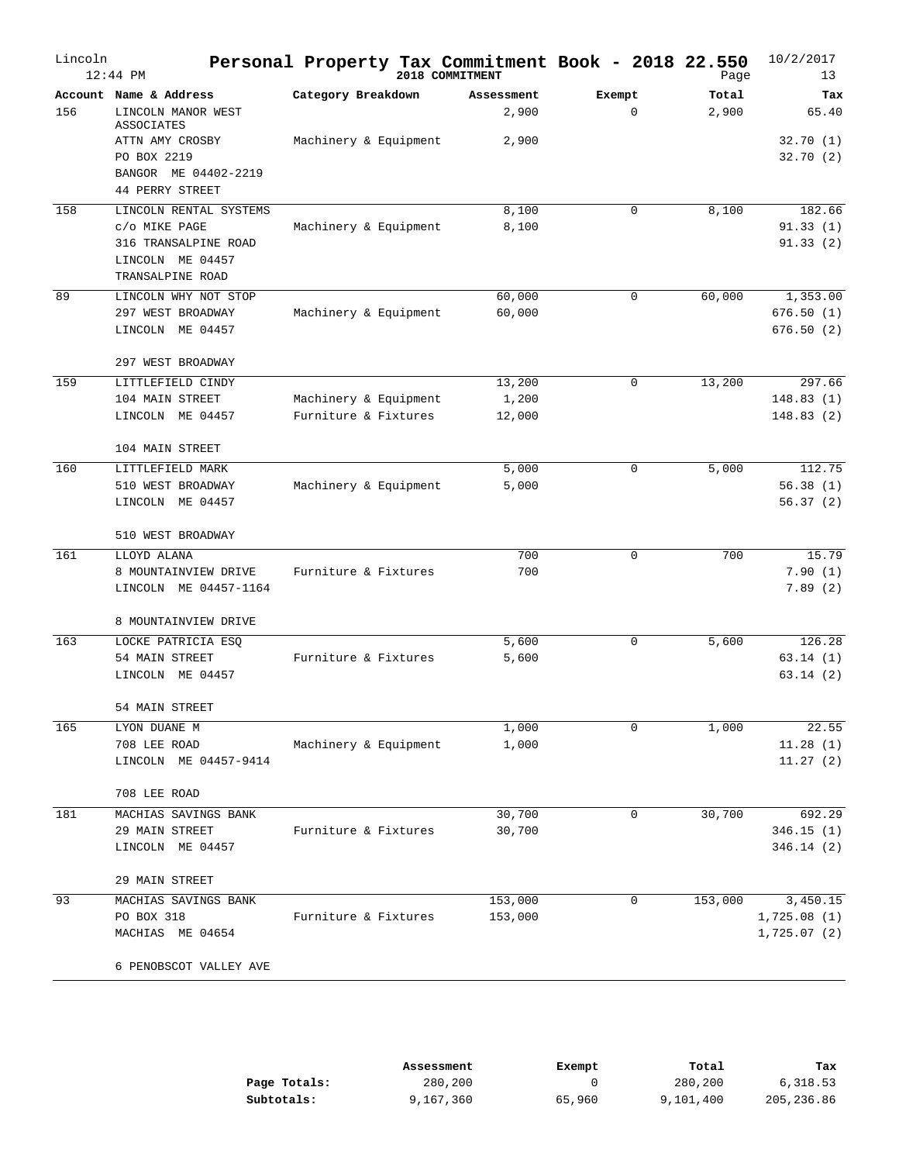| Lincoln | $12:44$ PM                                                                                              | Personal Property Tax Commitment Book - 2018 22.550<br>2018 COMMITMENT |                           |                       | Page           | 10/2/2017<br>13                        |
|---------|---------------------------------------------------------------------------------------------------------|------------------------------------------------------------------------|---------------------------|-----------------------|----------------|----------------------------------------|
| 156     | Account Name & Address<br>LINCOLN MANOR WEST<br><b>ASSOCIATES</b>                                       | Category Breakdown                                                     | Assessment<br>2,900       | Exempt<br>$\mathbf 0$ | Total<br>2,900 | Tax<br>65.40                           |
|         | ATTN AMY CROSBY<br>PO BOX 2219<br>BANGOR ME 04402-2219<br>44 PERRY STREET                               | Machinery & Equipment                                                  | 2,900                     |                       |                | 32.70(1)<br>32.70(2)                   |
| 158     | LINCOLN RENTAL SYSTEMS<br>C/O MIKE PAGE<br>316 TRANSALPINE ROAD<br>LINCOLN ME 04457<br>TRANSALPINE ROAD | Machinery & Equipment                                                  | 8,100<br>8,100            | 0                     | 8,100          | 182.66<br>91.33(1)<br>91.33(2)         |
| 89      | LINCOLN WHY NOT STOP<br>297 WEST BROADWAY<br>LINCOLN ME 04457<br>297 WEST BROADWAY                      | Machinery & Equipment                                                  | 60,000<br>60,000          | 0                     | 60,000         | 1,353.00<br>676.50(1)<br>676.50(2)     |
| 159     | LITTLEFIELD CINDY<br>104 MAIN STREET<br>LINCOLN ME 04457                                                | Machinery & Equipment<br>Furniture & Fixtures                          | 13,200<br>1,200<br>12,000 | $\mathbf 0$           | 13,200         | 297.66<br>148.83(1)<br>148.83(2)       |
| 160     | 104 MAIN STREET<br>LITTLEFIELD MARK<br>510 WEST BROADWAY<br>LINCOLN ME 04457                            | Machinery & Equipment                                                  | 5,000<br>5,000            | $\mathbf 0$           | 5,000          | 112.75<br>56.38(1)<br>56.37(2)         |
| 161     | 510 WEST BROADWAY<br>LLOYD ALANA<br>8 MOUNTAINVIEW DRIVE<br>LINCOLN ME 04457-1164                       | Furniture & Fixtures                                                   | 700<br>700                | 0                     | 700            | 15.79<br>7.90(1)<br>7.89(2)            |
| 163     | 8 MOUNTAINVIEW DRIVE<br>LOCKE PATRICIA ESQ<br>54 MAIN STREET<br>LINCOLN ME 04457                        | Furniture & Fixtures                                                   | 5,600<br>5,600            | $\mathbf 0$           | 5,600          | 126.28<br>63.14(1)<br>63.14(2)         |
| 165     | 54 MAIN STREET<br>LYON DUANE M<br>708 LEE ROAD<br>LINCOLN ME 04457-9414                                 | Machinery & Equipment                                                  | 1,000<br>1,000            | 0                     | 1,000          | 22.55<br>11.28(1)<br>11.27(2)          |
| 181     | 708 LEE ROAD<br>MACHIAS SAVINGS BANK<br>29 MAIN STREET<br>LINCOLN ME 04457                              | Furniture & Fixtures                                                   | 30,700<br>30,700          | 0                     | 30,700         | 692.29<br>346.15(1)<br>346.14(2)       |
| 93      | 29 MAIN STREET<br>MACHIAS SAVINGS BANK<br>PO BOX 318<br>MACHIAS ME 04654<br>6 PENOBSCOT VALLEY AVE      | Furniture & Fixtures                                                   | 153,000<br>153,000        | 0                     | 153,000        | 3,450.15<br>1,725.08(1)<br>1,725.07(2) |

|              | Assessment | Exempt | Total     | Tax        |
|--------------|------------|--------|-----------|------------|
| Page Totals: | 280,200    |        | 280,200   | 6,318.53   |
| Subtotals:   | 9,167,360  | 65,960 | 9,101,400 | 205,236.86 |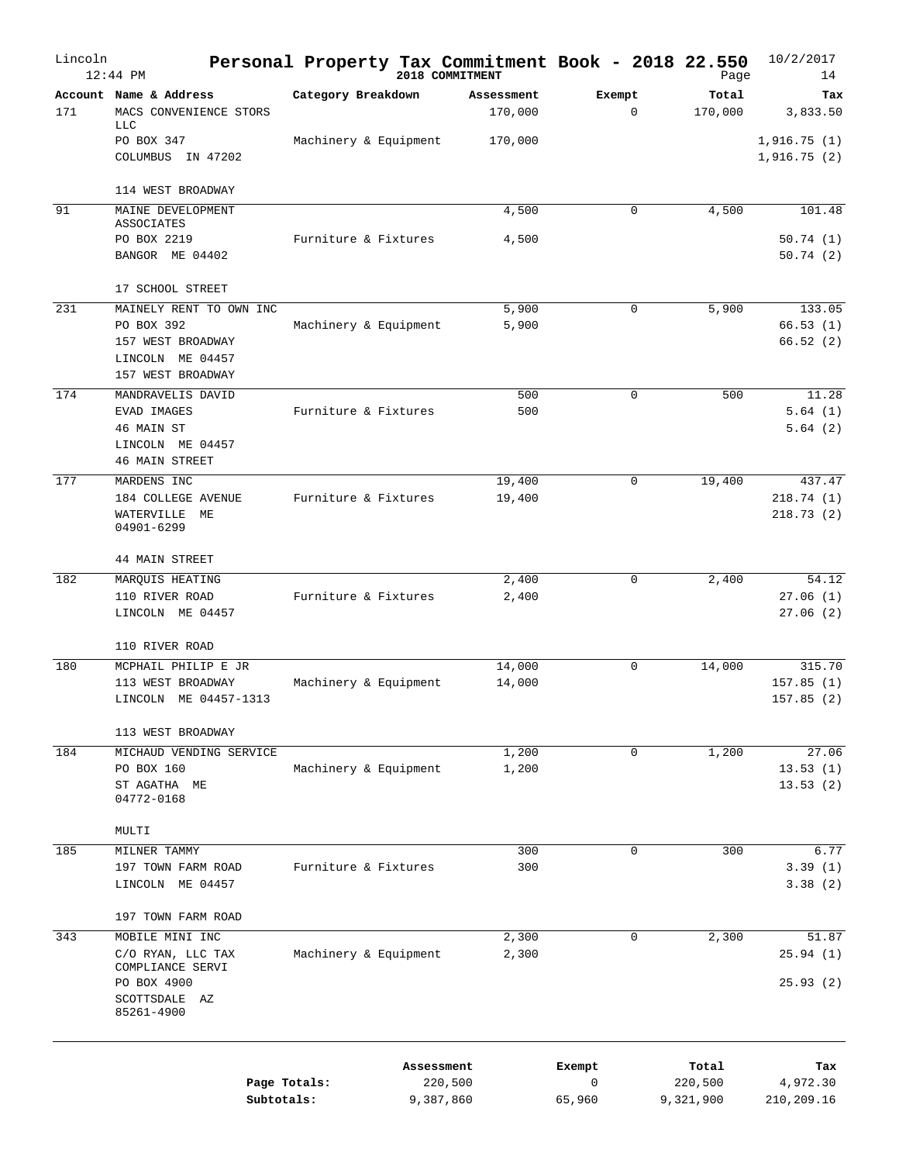| Lincoln | $12:44$ PM                                                                          |                            | Personal Property Tax Commitment Book - 2018 22.550<br>2018 COMMITMENT |                       |             | Page                 | 10/2/2017<br>14                  |
|---------|-------------------------------------------------------------------------------------|----------------------------|------------------------------------------------------------------------|-----------------------|-------------|----------------------|----------------------------------|
| 171     | Account Name & Address<br>MACS CONVENIENCE STORS<br><b>LLC</b>                      | Category Breakdown         | Assessment<br>170,000                                                  | Exempt                | $\mathbf 0$ | Total<br>170,000     | Tax<br>3,833.50                  |
|         | PO BOX 347<br>COLUMBUS IN 47202                                                     | Machinery & Equipment      | 170,000                                                                |                       |             |                      | 1,916.75(1)<br>1,916.75(2)       |
| 91      | 114 WEST BROADWAY<br>MAINE DEVELOPMENT                                              |                            | 4,500                                                                  |                       | 0           | 4,500                | 101.48                           |
|         | ASSOCIATES                                                                          |                            |                                                                        |                       |             |                      |                                  |
|         | PO BOX 2219<br>BANGOR ME 04402                                                      | Furniture & Fixtures       | 4,500                                                                  |                       |             |                      | 50.74(1)<br>50.74(2)             |
|         | 17 SCHOOL STREET                                                                    |                            |                                                                        |                       |             |                      |                                  |
| 231     | MAINELY RENT TO OWN INC                                                             |                            | 5,900                                                                  |                       | 0           | 5,900                | 133.05                           |
|         | PO BOX 392<br>157 WEST BROADWAY<br>LINCOLN ME 04457<br>157 WEST BROADWAY            | Machinery & Equipment      | 5,900                                                                  |                       |             |                      | 66.53(1)<br>66.52(2)             |
| 174     | MANDRAVELIS DAVID                                                                   |                            | 500                                                                    |                       | 0           | 500                  | 11.28                            |
|         | EVAD IMAGES<br>46 MAIN ST<br>LINCOLN ME 04457<br><b>46 MAIN STREET</b>              | Furniture & Fixtures       | 500                                                                    |                       |             |                      | 5.64(1)<br>5.64(2)               |
| 177     | MARDENS INC                                                                         |                            | 19,400                                                                 |                       | 0           | 19,400               | 437.47                           |
|         | 184 COLLEGE AVENUE<br>WATERVILLE ME<br>04901-6299                                   | Furniture & Fixtures       | 19,400                                                                 |                       |             |                      | 218.74(1)<br>218.73(2)           |
|         | <b>44 MAIN STREET</b>                                                               |                            |                                                                        |                       |             |                      |                                  |
| 182     | MARQUIS HEATING                                                                     |                            | 2,400                                                                  |                       | 0           | 2,400                | 54.12                            |
|         | 110 RIVER ROAD<br>LINCOLN ME 04457                                                  | Furniture & Fixtures       | 2,400                                                                  |                       |             |                      | 27.06(1)<br>27.06(2)             |
|         | 110 RIVER ROAD                                                                      |                            |                                                                        |                       |             |                      |                                  |
| 180     | MCPHAIL PHILIP E JR<br>113 WEST BROADWAY<br>LINCOLN ME 04457-1313                   | Machinery & Equipment      | 14,000<br>14,000                                                       |                       | 0           | 14,000               | 315.70<br>157.85(1)<br>157.85(2) |
|         | 113 WEST BROADWAY                                                                   |                            |                                                                        |                       |             |                      |                                  |
| 184     | MICHAUD VENDING SERVICE                                                             |                            | 1,200                                                                  |                       | 0           | 1,200                | 27.06                            |
|         | PO BOX 160<br>ST AGATHA ME<br>04772-0168                                            | Machinery & Equipment      | 1,200                                                                  |                       |             |                      | 13.53(1)<br>13.53(2)             |
|         | MULTI                                                                               |                            |                                                                        |                       |             |                      |                                  |
| 185     | MILNER TAMMY<br>197 TOWN FARM ROAD<br>LINCOLN ME 04457                              | Furniture & Fixtures       | 300<br>300                                                             |                       | 0           | 300                  | 6.77<br>3.39(1)<br>3.38(2)       |
|         | 197 TOWN FARM ROAD                                                                  |                            |                                                                        |                       |             |                      |                                  |
| 343     | MOBILE MINI INC                                                                     |                            | 2,300                                                                  |                       | 0           | 2,300                | 51.87                            |
|         | C/O RYAN, LLC TAX<br>COMPLIANCE SERVI<br>PO BOX 4900<br>SCOTTSDALE AZ<br>85261-4900 | Machinery & Equipment      | 2,300                                                                  |                       |             |                      | 25.94(1)<br>25.93(2)             |
|         |                                                                                     |                            | Assessment                                                             | Exempt<br>$\mathbf 0$ |             | Total                | Tax                              |
|         |                                                                                     | Page Totals:<br>Subtotals: | 220,500<br>9,387,860                                                   | 65,960                |             | 220,500<br>9,321,900 | 4,972.30<br>210,209.16           |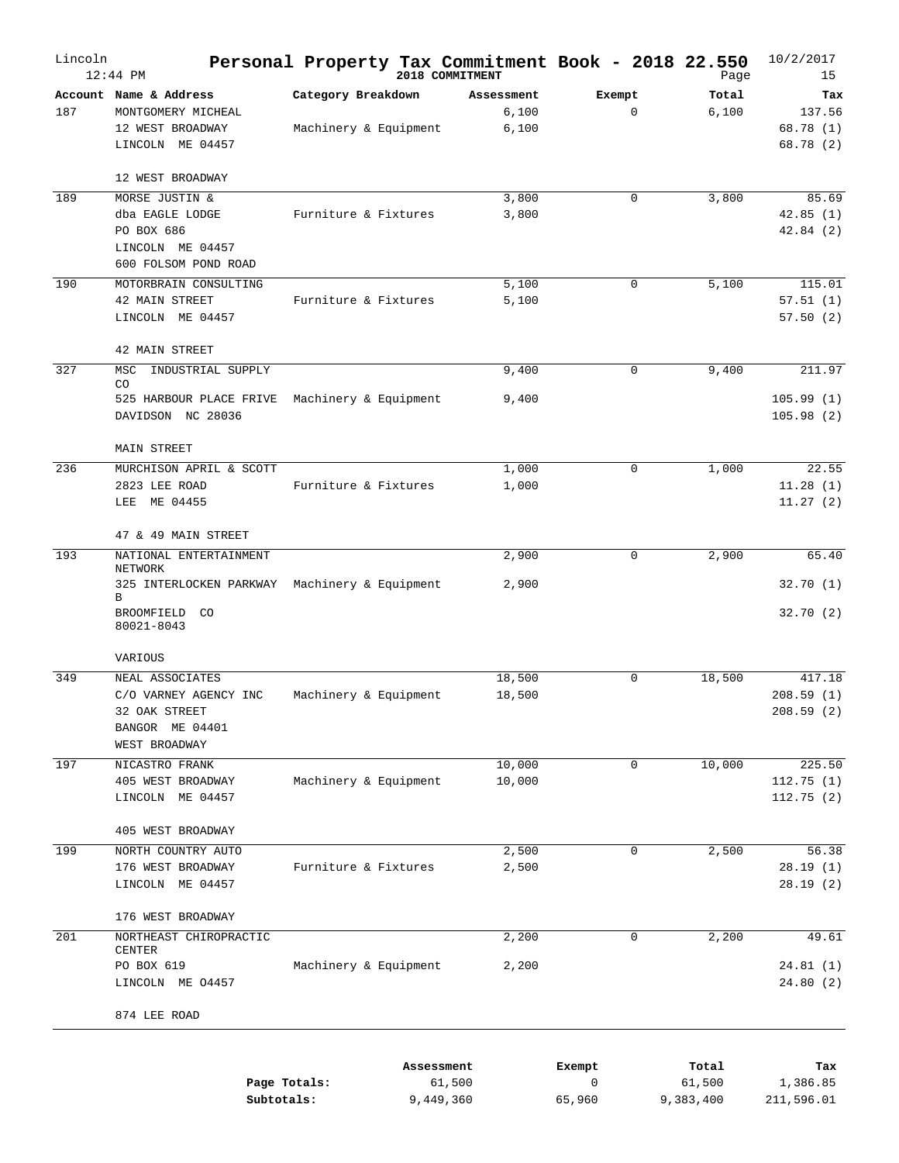| Lincoln | $12:44$ PM                                                                                    | Personal Property Tax Commitment Book - 2018 22.550 |                         | 2018 COMMITMENT              |                       |             | Page                         | 10/2/2017<br>15                        |
|---------|-----------------------------------------------------------------------------------------------|-----------------------------------------------------|-------------------------|------------------------------|-----------------------|-------------|------------------------------|----------------------------------------|
| 187     | Account Name & Address<br>MONTGOMERY MICHEAL<br>12 WEST BROADWAY<br>LINCOLN ME 04457          | Category Breakdown<br>Machinery & Equipment         |                         | Assessment<br>6,100<br>6,100 | Exempt                | $\mathbf 0$ | Total<br>6,100               | Tax<br>137.56<br>68.78(1)<br>68.78 (2) |
|         | 12 WEST BROADWAY                                                                              |                                                     |                         |                              |                       |             |                              |                                        |
| 189     | MORSE JUSTIN &<br>dba EAGLE LODGE<br>PO BOX 686<br>LINCOLN ME 04457<br>600 FOLSOM POND ROAD   | Furniture & Fixtures                                |                         | 3,800<br>3,800               |                       | $\mathbf 0$ | 3,800                        | 85.69<br>42.85(1)<br>42.84(2)          |
| 190     | MOTORBRAIN CONSULTING<br>42 MAIN STREET<br>LINCOLN ME 04457                                   | Furniture & Fixtures                                |                         | 5,100<br>5,100               |                       | $\mathbf 0$ | 5,100                        | 115.01<br>57.51(1)<br>57.50(2)         |
| 327     | 42 MAIN STREET<br>MSC<br>INDUSTRIAL SUPPLY                                                    |                                                     |                         |                              |                       | $\mathbf 0$ | 9,400                        | 211.97                                 |
|         | CO<br>525 HARBOUR PLACE FRIVE<br>DAVIDSON NC 28036                                            | Machinery & Equipment                               |                         | 9,400<br>9,400               |                       |             |                              | 105.99(1)<br>105.98(2)                 |
| 236     | MAIN STREET<br>MURCHISON APRIL & SCOTT<br>2823 LEE ROAD<br>LEE ME 04455                       | Furniture & Fixtures                                |                         | 1,000<br>1,000               |                       | $\mathbf 0$ | 1,000                        | 22.55<br>11.28(1)<br>11.27(2)          |
|         | 47 & 49 MAIN STREET                                                                           |                                                     |                         |                              |                       |             |                              |                                        |
| 193     | NATIONAL ENTERTAINMENT<br>NETWORK<br>325 INTERLOCKEN PARKWAY Machinery & Equipment            |                                                     |                         | 2,900<br>2,900               |                       | $\mathbf 0$ | 2,900                        | 65.40<br>32.70(1)                      |
|         | В<br>BROOMFIELD CO<br>80021-8043                                                              |                                                     |                         |                              |                       |             |                              | 32.70(2)                               |
|         | VARIOUS                                                                                       |                                                     |                         |                              |                       |             |                              |                                        |
| 349     | NEAL ASSOCIATES<br>C/O VARNEY AGENCY INC<br>32 OAK STREET<br>BANGOR ME 04401<br>WEST BROADWAY | Machinery & Equipment                               |                         | 18,500<br>18,500             |                       | $\mathbf 0$ | 18,500                       | 417.18<br>208.59(1)<br>208.59 (2)      |
| 197     | NICASTRO FRANK<br>405 WEST BROADWAY<br>LINCOLN ME 04457                                       | Machinery & Equipment                               |                         | 10,000<br>10,000             |                       | 0           | 10,000                       | 225.50<br>112.75(1)<br>112.75(2)       |
| 199     | 405 WEST BROADWAY<br>NORTH COUNTRY AUTO                                                       |                                                     |                         | 2,500                        |                       | 0           | 2,500                        | 56.38                                  |
|         | 176 WEST BROADWAY<br>LINCOLN ME 04457                                                         | Furniture & Fixtures                                |                         | 2,500                        |                       |             |                              | 28.19(1)<br>28.19(2)                   |
|         | 176 WEST BROADWAY                                                                             |                                                     |                         |                              |                       |             |                              |                                        |
| 201     | NORTHEAST CHIROPRACTIC<br>CENTER                                                              |                                                     |                         | 2,200                        |                       | $\mathbf 0$ | 2,200                        | 49.61                                  |
|         | PO BOX 619<br>LINCOLN ME 04457                                                                | Machinery & Equipment                               |                         | 2,200                        |                       |             |                              | 24.81(1)<br>24.80(2)                   |
|         | 874 LEE ROAD                                                                                  |                                                     |                         |                              |                       |             |                              |                                        |
|         | Subtotals:                                                                                    | Page Totals:                                        | Assessment<br>9,449,360 | 61,500                       | Exempt<br>0<br>65,960 |             | Total<br>61,500<br>9,383,400 | Tax<br>1,386.85<br>211,596.01          |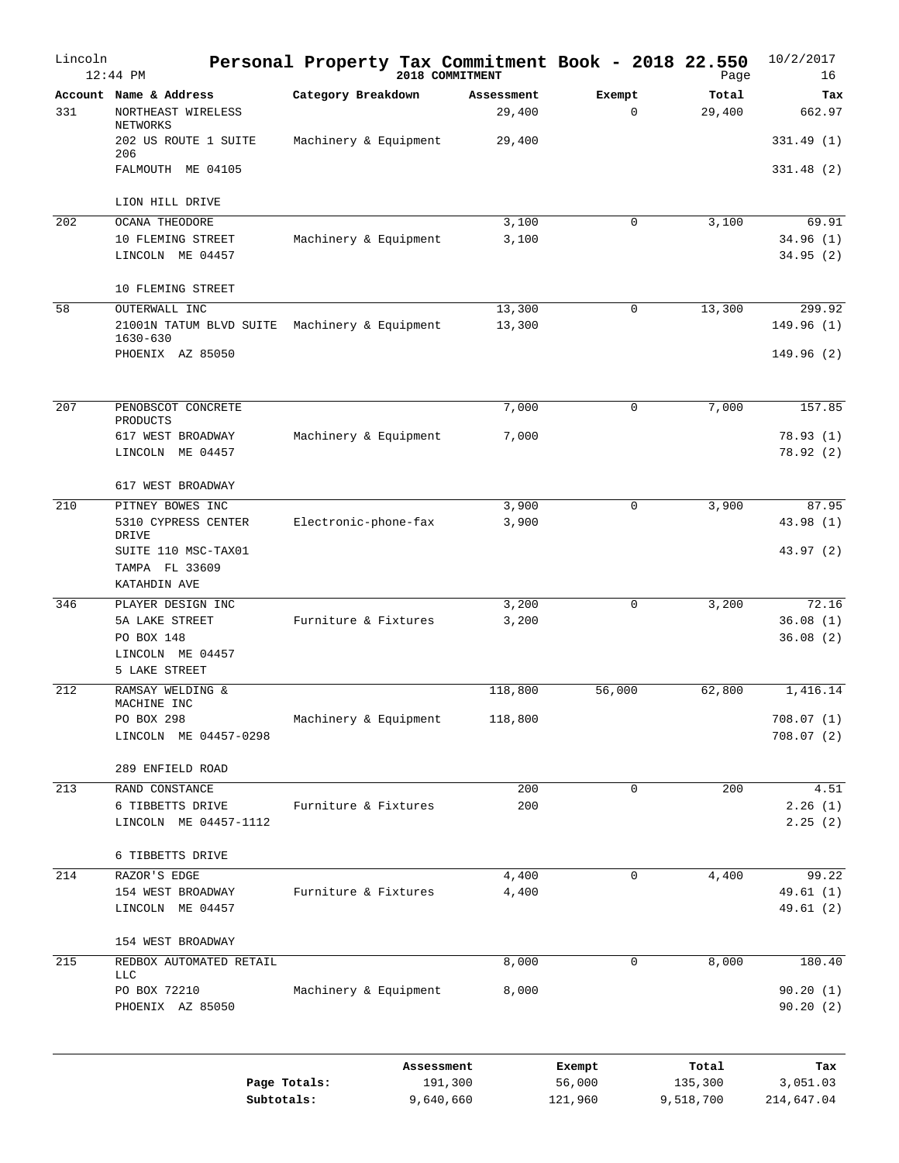| Lincoln | $12:44$ PM                                                  | Personal Property Tax Commitment Book - 2018 22.550 |            | 2018 COMMITMENT      |                       | Page                 | 10/2/2017<br>16               |
|---------|-------------------------------------------------------------|-----------------------------------------------------|------------|----------------------|-----------------------|----------------------|-------------------------------|
| 331     | Account Name & Address<br>NORTHEAST WIRELESS<br>NETWORKS    | Category Breakdown                                  |            | Assessment<br>29,400 | Exempt<br>$\mathbf 0$ | Total<br>29,400      | Tax<br>662.97                 |
|         | 202 US ROUTE 1 SUITE<br>206                                 | Machinery & Equipment                               |            | 29,400               |                       |                      | 331.49 (1)                    |
|         | FALMOUTH ME 04105                                           |                                                     |            |                      |                       |                      | 331.48(2)                     |
|         | LION HILL DRIVE                                             |                                                     |            |                      |                       |                      |                               |
| 202     | OCANA THEODORE<br>10 FLEMING STREET<br>LINCOLN ME 04457     | Machinery & Equipment                               |            | 3,100<br>3,100       | $\mathbf 0$           | 3,100                | 69.91<br>34.96(1)<br>34.95(2) |
|         | 10 FLEMING STREET                                           |                                                     |            |                      |                       |                      |                               |
| 58      | OUTERWALL INC<br>21001N TATUM BLVD SUITE                    | Machinery & Equipment                               |            | 13,300<br>13,300     | $\mathbf 0$           | 13,300               | 299.92<br>149.96(1)           |
|         | $1630 - 630$<br>PHOENIX AZ 85050                            |                                                     |            |                      |                       |                      | 149.96(2)                     |
| 207     | PENOBSCOT CONCRETE                                          |                                                     |            | 7,000                | $\mathbf 0$           | 7,000                | 157.85                        |
|         | PRODUCTS<br>617 WEST BROADWAY<br>LINCOLN ME 04457           | Machinery & Equipment                               |            | 7,000                |                       |                      | 78.93(1)<br>78.92(2)          |
|         | 617 WEST BROADWAY                                           |                                                     |            |                      |                       |                      |                               |
| 210     | PITNEY BOWES INC<br>5310 CYPRESS CENTER<br>DRIVE            | Electronic-phone-fax                                |            | 3,900<br>3,900       | $\mathbf 0$           | 3,900                | 87.95<br>43.98 (1)            |
|         | SUITE 110 MSC-TAX01<br>TAMPA FL 33609<br>KATAHDIN AVE       |                                                     |            |                      |                       |                      | 43.97 (2)                     |
| 346     | PLAYER DESIGN INC                                           |                                                     |            | 3,200                | 0                     | 3,200                | 72.16                         |
|         | 5A LAKE STREET<br>PO BOX 148<br>LINCOLN ME 04457            | Furniture & Fixtures                                |            | 3,200                |                       |                      | 36.08(1)<br>36.08(2)          |
|         | 5 LAKE STREET                                               |                                                     |            |                      |                       |                      |                               |
| 212     | RAMSAY WELDING &<br>MACHINE INC                             |                                                     |            | 118,800              | 56,000                | 62,800               | 1,416.14                      |
|         | PO BOX 298<br>LINCOLN ME 04457-0298                         | Machinery & Equipment                               |            | 118,800              |                       |                      | 708.07 (1)<br>708.07(2)       |
|         | 289 ENFIELD ROAD                                            |                                                     |            |                      |                       |                      |                               |
| 213     | RAND CONSTANCE<br>6 TIBBETTS DRIVE<br>LINCOLN ME 04457-1112 | Furniture & Fixtures                                |            | 200<br>200           | $\mathbf 0$           | 200                  | 4.51<br>2.26(1)<br>2.25(2)    |
|         | 6 TIBBETTS DRIVE                                            |                                                     |            |                      |                       |                      |                               |
| 214     | RAZOR'S EDGE                                                |                                                     |            | 4,400                | $\mathbf 0$           | 4,400                | 99.22                         |
|         | 154 WEST BROADWAY<br>LINCOLN ME 04457                       | Furniture & Fixtures                                |            | 4,400                |                       |                      | 49.61(1)<br>49.61 (2)         |
|         | 154 WEST BROADWAY                                           |                                                     |            |                      |                       |                      |                               |
| 215     | REDBOX AUTOMATED RETAIL<br><b>LLC</b>                       |                                                     |            | 8,000                | $\mathbf 0$           | 8,000                | 180.40                        |
|         | PO BOX 72210<br>PHOENIX AZ 85050                            | Machinery & Equipment                               |            | 8,000                |                       |                      | 90.20(1)<br>90.20(2)          |
|         |                                                             |                                                     | Assessment |                      | Exempt                | Total                | Tax                           |
|         |                                                             | Page Totals:<br>Subtotals:                          | 9,640,660  | 191,300              | 56,000<br>121,960     | 135,300<br>9,518,700 | 3,051.03<br>214,647.04        |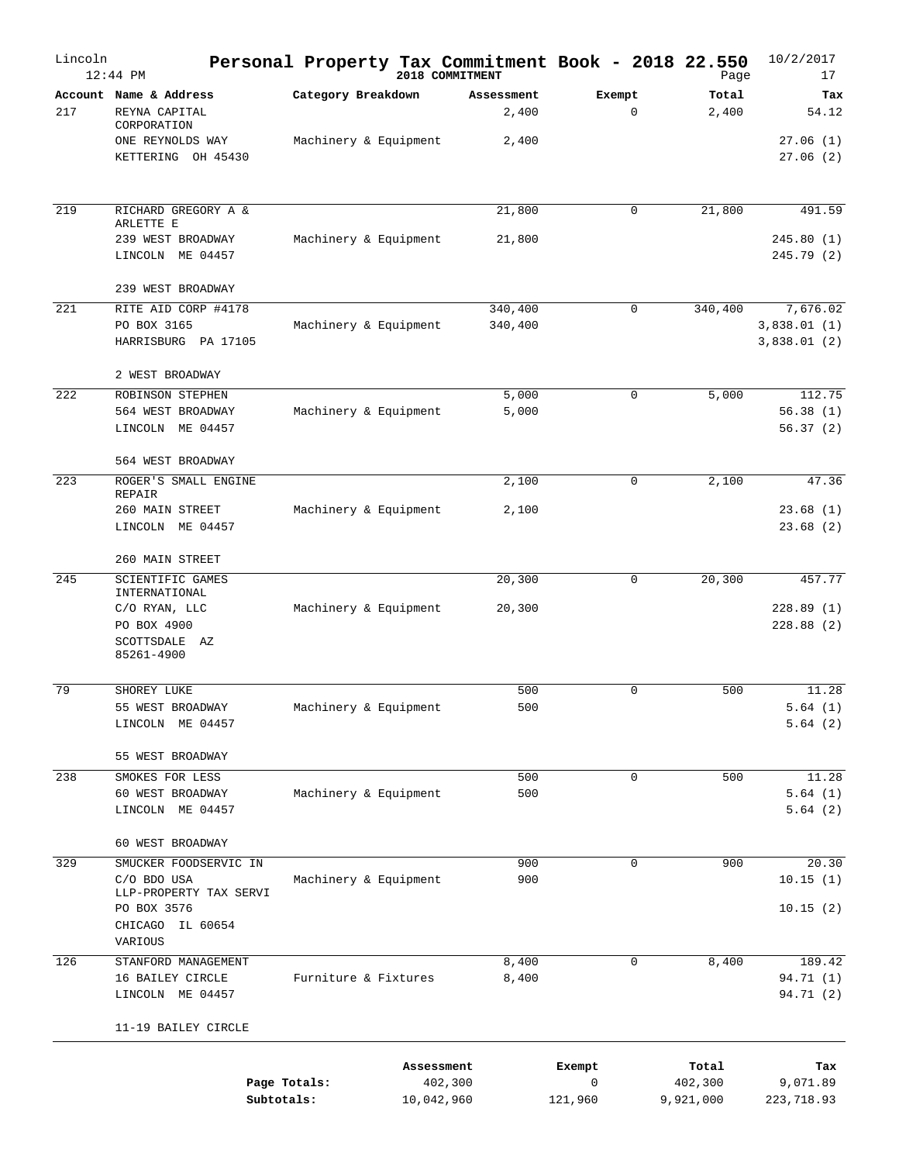| Lincoln | 12:44 PM                                                                                                     |                            | 2018 COMMITMENT       |                     |                       | Personal Property Tax Commitment Book - 2018 22.550<br>Page | 10/2/2017<br>17                        |
|---------|--------------------------------------------------------------------------------------------------------------|----------------------------|-----------------------|---------------------|-----------------------|-------------------------------------------------------------|----------------------------------------|
| 217     | Account Name & Address<br>REYNA CAPITAL<br>CORPORATION                                                       | Category Breakdown         |                       | Assessment<br>2,400 | Exempt<br>$\mathbf 0$ | Total<br>2,400                                              | Tax<br>54.12                           |
|         | ONE REYNOLDS WAY<br>KETTERING OH 45430                                                                       | Machinery & Equipment      |                       | 2,400               |                       |                                                             | 27.06(1)<br>27.06(2)                   |
| 219     | RICHARD GREGORY A &<br>ARLETTE E                                                                             |                            |                       | 21,800              | 0                     | 21,800                                                      | 491.59                                 |
|         | 239 WEST BROADWAY<br>LINCOLN ME 04457                                                                        | Machinery & Equipment      |                       | 21,800              |                       |                                                             | 245.80(1)<br>245.79(2)                 |
|         | 239 WEST BROADWAY                                                                                            |                            |                       |                     |                       |                                                             |                                        |
| 221     | RITE AID CORP #4178<br>PO BOX 3165<br>HARRISBURG PA 17105                                                    | Machinery & Equipment      |                       | 340,400<br>340,400  | 0                     | 340,400                                                     | 7,676.02<br>3,838.01(1)<br>3,838.01(2) |
|         | 2 WEST BROADWAY                                                                                              |                            |                       |                     |                       |                                                             |                                        |
| 222     | ROBINSON STEPHEN<br>564 WEST BROADWAY<br>LINCOLN ME 04457                                                    | Machinery & Equipment      |                       | 5,000<br>5,000      | 0                     | 5,000                                                       | 112.75<br>56.38(1)<br>56.37(2)         |
|         | 564 WEST BROADWAY                                                                                            |                            |                       |                     |                       |                                                             |                                        |
| 223     | ROGER'S SMALL ENGINE<br>REPAIR<br>260 MAIN STREET<br>LINCOLN ME 04457                                        | Machinery & Equipment      |                       | 2,100<br>2,100      | 0                     | 2,100                                                       | 47.36<br>23.68(1)<br>23.68(2)          |
|         | 260 MAIN STREET                                                                                              |                            |                       |                     |                       |                                                             |                                        |
| 245     | SCIENTIFIC GAMES<br>INTERNATIONAL                                                                            |                            |                       | 20,300              | $\mathbf 0$           | 20,300                                                      | 457.77                                 |
|         | C/O RYAN, LLC<br>PO BOX 4900<br>SCOTTSDALE AZ<br>85261-4900                                                  | Machinery & Equipment      |                       | 20,300              |                       |                                                             | 228.89(1)<br>228.88(2)                 |
|         |                                                                                                              |                            |                       |                     |                       |                                                             |                                        |
| 79      | SHOREY LUKE<br>55 WEST BROADWAY<br>LINCOLN ME 04457                                                          | Machinery & Equipment      |                       | 500<br>500          | 0                     | 500                                                         | 11.28<br>5.64(1)<br>5.64(2)            |
|         | 55 WEST BROADWAY                                                                                             |                            |                       |                     |                       |                                                             |                                        |
| 238     | SMOKES FOR LESS<br>60 WEST BROADWAY<br>LINCOLN ME 04457                                                      | Machinery & Equipment      |                       | 500<br>500          | 0                     | 500                                                         | 11.28<br>5.64(1)<br>5.64(2)            |
|         | 60 WEST BROADWAY                                                                                             |                            |                       |                     |                       |                                                             |                                        |
| 329     | SMUCKER FOODSERVIC IN<br>C/O BDO USA<br>LLP-PROPERTY TAX SERVI<br>PO BOX 3576<br>CHICAGO IL 60654<br>VARIOUS | Machinery & Equipment      |                       | 900<br>900          | 0                     | 900                                                         | 20.30<br>10.15(1)<br>10.15(2)          |
| 126     | STANFORD MANAGEMENT                                                                                          |                            |                       | 8,400               | 0                     | 8,400                                                       | 189.42                                 |
|         | 16 BAILEY CIRCLE<br>LINCOLN ME 04457                                                                         | Furniture & Fixtures       |                       | 8,400               |                       |                                                             | 94.71 (1)<br>94.71 (2)                 |
|         | 11-19 BAILEY CIRCLE                                                                                          |                            |                       |                     |                       |                                                             |                                        |
|         |                                                                                                              |                            | Assessment            |                     | Exempt                | Total                                                       | Tax                                    |
|         |                                                                                                              | Page Totals:<br>Subtotals: | 402,300<br>10,042,960 |                     | 0<br>121,960          | 402,300<br>9,921,000                                        | 9,071.89<br>223,718.93                 |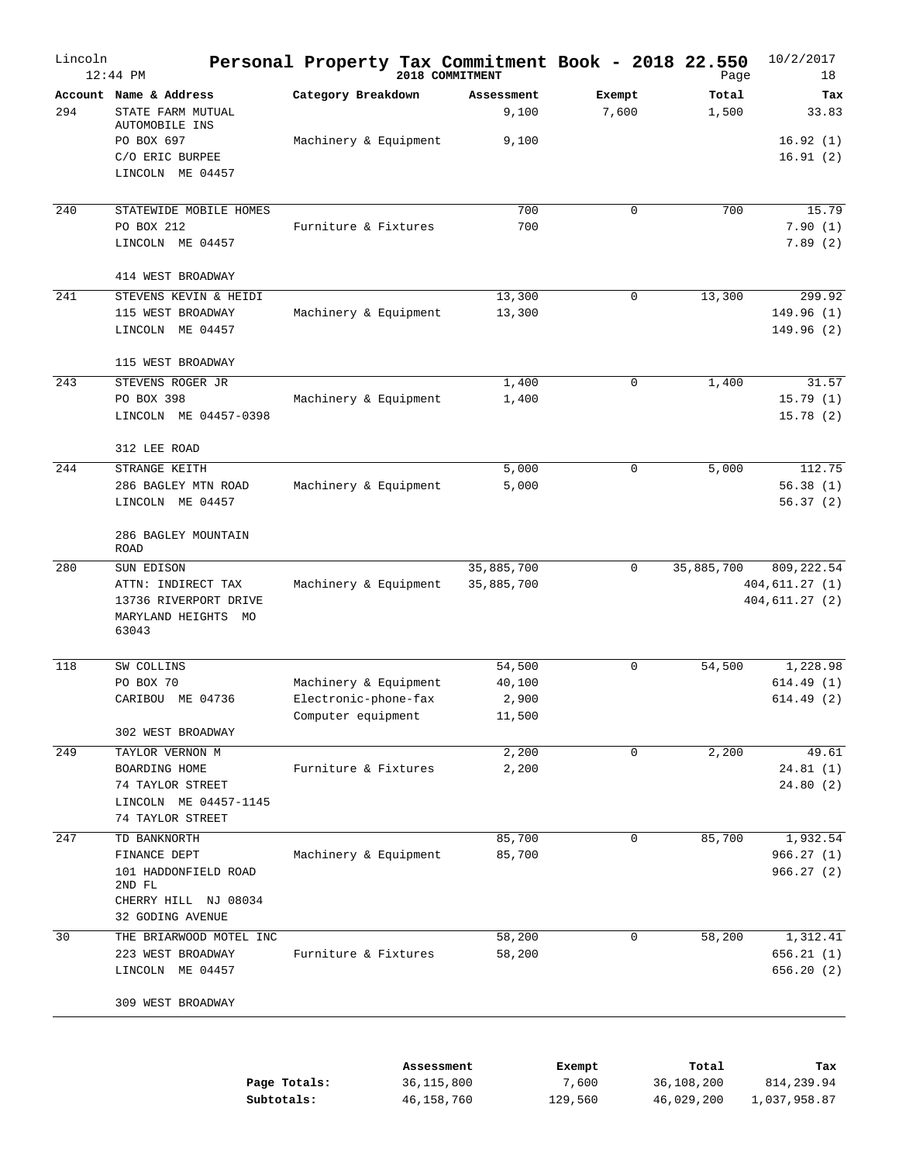| Lincoln | $12:44$ PM                                                                  | Personal Property Tax Commitment Book - 2018 22.550 | 2018 COMMITMENT     |                 | Page           | 10/2/2017<br>18                    |
|---------|-----------------------------------------------------------------------------|-----------------------------------------------------|---------------------|-----------------|----------------|------------------------------------|
| 294     | Account Name & Address<br>STATE FARM MUTUAL                                 | Category Breakdown                                  | Assessment<br>9,100 | Exempt<br>7,600 | Total<br>1,500 | Tax<br>33.83                       |
|         | AUTOMOBILE INS<br>PO BOX 697<br>C/O ERIC BURPEE                             | Machinery & Equipment                               | 9,100               |                 |                | 16.92(1)<br>16.91(2)               |
|         | LINCOLN ME 04457                                                            |                                                     |                     |                 |                |                                    |
| 240     | STATEWIDE MOBILE HOMES<br>PO BOX 212                                        | Furniture & Fixtures                                | 700<br>700          | 0               | 700            | 15.79<br>7.90(1)                   |
|         | LINCOLN ME 04457                                                            |                                                     |                     |                 |                | 7.89(2)                            |
|         | 414 WEST BROADWAY                                                           |                                                     |                     |                 |                |                                    |
| 241     | STEVENS KEVIN & HEIDI                                                       |                                                     | 13,300              | 0               | 13,300         | 299.92                             |
|         | 115 WEST BROADWAY<br>LINCOLN ME 04457                                       | Machinery & Equipment                               | 13,300              |                 |                | 149.96(1)<br>149.96(2)             |
|         | 115 WEST BROADWAY                                                           |                                                     |                     |                 |                |                                    |
| 243     | STEVENS ROGER JR                                                            |                                                     | 1,400               | $\mathbf 0$     | 1,400          | 31.57                              |
|         | PO BOX 398<br>LINCOLN ME 04457-0398                                         | Machinery & Equipment                               | 1,400               |                 |                | 15.79(1)<br>15.78(2)               |
|         | 312 LEE ROAD                                                                |                                                     |                     |                 |                |                                    |
| 244     | STRANGE KEITH                                                               |                                                     | 5,000               | $\mathbf 0$     | 5,000          | 112.75                             |
|         | 286 BAGLEY MTN ROAD<br>LINCOLN ME 04457                                     | Machinery & Equipment                               | 5,000               |                 |                | 56.38(1)<br>56.37(2)               |
|         | 286 BAGLEY MOUNTAIN<br><b>ROAD</b>                                          |                                                     |                     |                 |                |                                    |
| 280     | SUN EDISON                                                                  |                                                     | 35,885,700          | $\mathbf 0$     | 35,885,700     | 809, 222.54                        |
|         | ATTN: INDIRECT TAX<br>13736 RIVERPORT DRIVE<br>MARYLAND HEIGHTS MO<br>63043 | Machinery & Equipment                               | 35,885,700          |                 |                | 404, 611.27 (1)<br>404, 611.27 (2) |
| 118     | SW COLLINS                                                                  |                                                     | 54,500              | $\mathbf 0$     | 54,500         | 1,228.98                           |
|         | PO BOX 70                                                                   | Machinery & Equipment                               | 40,100              |                 |                | 614.49(1)                          |
|         | CARIBOU ME 04736                                                            | Electronic-phone-fax<br>Computer equipment          | 2,900<br>11,500     |                 |                | 614.49(2)                          |
|         | 302 WEST BROADWAY                                                           |                                                     |                     |                 |                |                                    |
| 249     | TAYLOR VERNON M                                                             |                                                     | 2,200               | $\Omega$        | 2,200          | 49.61                              |
|         | BOARDING HOME<br>74 TAYLOR STREET<br>LINCOLN ME 04457-1145                  | Furniture & Fixtures                                | 2,200               |                 |                | 24.81(1)<br>24.80 (2)              |
|         | 74 TAYLOR STREET                                                            |                                                     |                     |                 |                |                                    |
| 247     | TD BANKNORTH                                                                |                                                     | 85,700              | $\mathbf 0$     | 85,700         | 1,932.54                           |
|         | FINANCE DEPT<br>101 HADDONFIELD ROAD<br>2ND FL<br>CHERRY HILL NJ 08034      | Machinery & Equipment                               | 85,700              |                 |                | 966.27(1)<br>966.27(2)             |
|         | 32 GODING AVENUE                                                            |                                                     |                     |                 |                |                                    |
| 30      | THE BRIARWOOD MOTEL INC                                                     |                                                     | 58,200              | 0               | 58,200         | 1,312.41                           |
|         | 223 WEST BROADWAY<br>LINCOLN ME 04457                                       | Furniture & Fixtures                                | 58,200              |                 |                | 656.21 (1)<br>656.20 (2)           |
|         | 309 WEST BROADWAY                                                           |                                                     |                     |                 |                |                                    |
|         |                                                                             |                                                     |                     |                 |                |                                    |
|         |                                                                             |                                                     | Assessment          | Exempt          | Total          | Tax                                |

|              | ------------- | -------- | --------   | ----         |
|--------------|---------------|----------|------------|--------------|
| Page Totals: | 36,115,800    | 7,600    | 36,108,200 | 814,239.94   |
| Subtotals:   | 46,158,760    | 129,560  | 46,029,200 | 1,037,958.87 |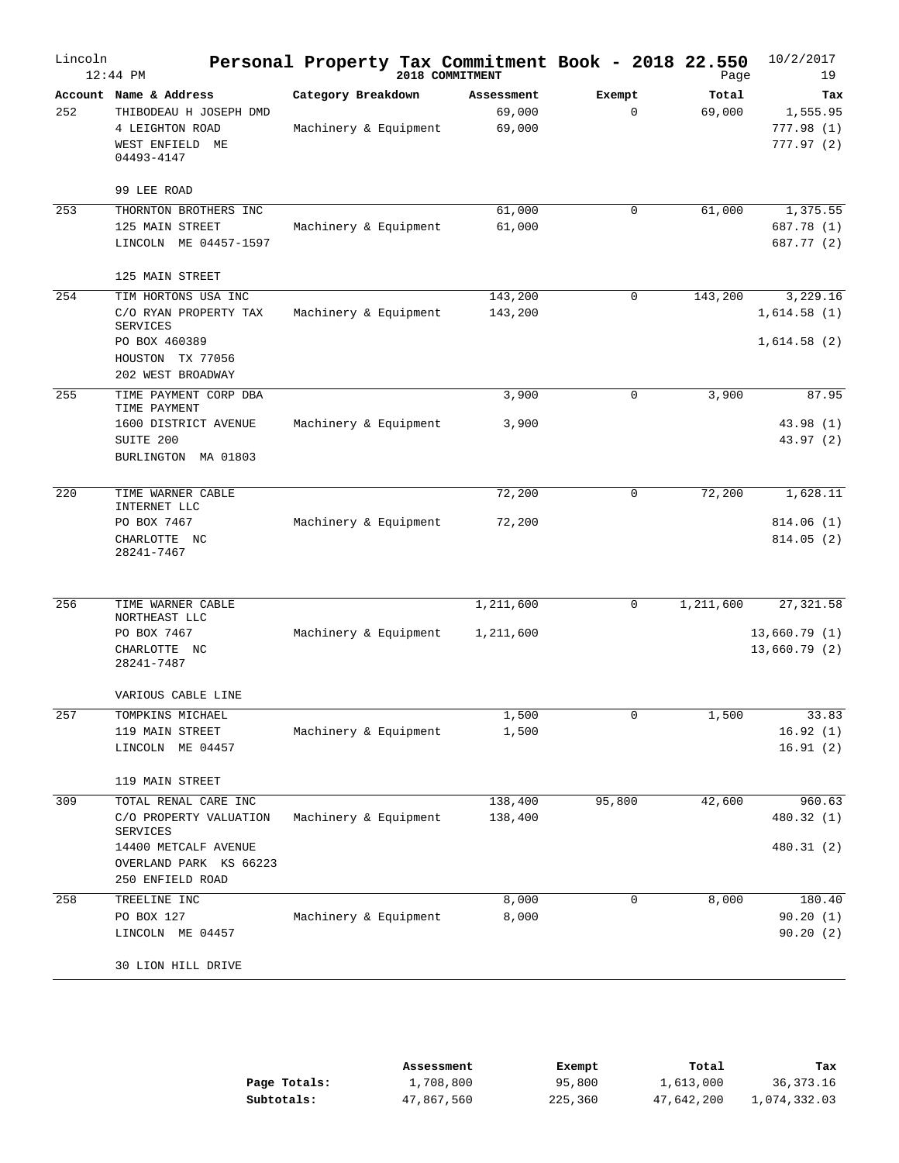| Lincoln | $12:44$ PM                                                                                                                       | Personal Property Tax Commitment Book - 2018 22.550 | 2018 COMMITMENT                |                       | Page            | 10/2/2017<br>19                            |
|---------|----------------------------------------------------------------------------------------------------------------------------------|-----------------------------------------------------|--------------------------------|-----------------------|-----------------|--------------------------------------------|
| 252     | Account Name & Address<br>THIBODEAU H JOSEPH DMD<br>4 LEIGHTON ROAD<br>WEST ENFIELD ME<br>04493-4147                             | Category Breakdown<br>Machinery & Equipment         | Assessment<br>69,000<br>69,000 | Exempt<br>$\mathbf 0$ | Total<br>69,000 | Tax<br>1,555.95<br>777.98 (1)<br>777.97(2) |
|         | 99 LEE ROAD                                                                                                                      |                                                     |                                |                       |                 |                                            |
| 253     | THORNTON BROTHERS INC<br>125 MAIN STREET<br>LINCOLN ME 04457-1597                                                                | Machinery & Equipment                               | 61,000<br>61,000               | 0                     | 61,000          | 1,375.55<br>687.78 (1)<br>687.77 (2)       |
|         | 125 MAIN STREET                                                                                                                  |                                                     |                                |                       |                 |                                            |
| 254     | TIM HORTONS USA INC<br>C/O RYAN PROPERTY TAX<br><b>SERVICES</b><br>PO BOX 460389<br>HOUSTON TX 77056<br>202 WEST BROADWAY        | Machinery & Equipment                               | 143,200<br>143,200             | 0                     | 143,200         | 3,229.16<br>1,614.58(1)<br>1,614.58(2)     |
| 255     | TIME PAYMENT CORP DBA                                                                                                            |                                                     | 3,900                          | 0                     | 3,900           | 87.95                                      |
|         | TIME PAYMENT<br>1600 DISTRICT AVENUE<br>SUITE 200<br>BURLINGTON MA 01803                                                         | Machinery & Equipment                               | 3,900                          |                       |                 | 43.98 (1)<br>43.97 (2)                     |
| 220     | TIME WARNER CABLE                                                                                                                |                                                     | 72,200                         | 0                     | 72,200          | 1,628.11                                   |
|         | INTERNET LLC<br>PO BOX 7467<br>CHARLOTTE NC<br>28241-7467                                                                        | Machinery & Equipment                               | 72,200                         |                       |                 | 814.06(1)<br>814.05(2)                     |
| 256     | TIME WARNER CABLE                                                                                                                |                                                     | 1,211,600                      | 0                     | 1,211,600       | 27, 321.58                                 |
|         | NORTHEAST LLC<br>PO BOX 7467<br>CHARLOTTE NC<br>28241-7487                                                                       | Machinery & Equipment                               | 1,211,600                      |                       |                 | 13,660.79 (1)<br>13,660.79 (2)             |
|         | VARIOUS CABLE LINE                                                                                                               |                                                     |                                |                       |                 |                                            |
| 257     | TOMPKINS MICHAEL<br>119 MAIN STREET<br>LINCOLN ME 04457                                                                          | Machinery & Equipment                               | 1,500<br>1,500                 | 0                     | 1,500           | 33.83<br>16.92(1)<br>16.91(2)              |
|         | 119 MAIN STREET                                                                                                                  |                                                     |                                |                       |                 |                                            |
| 309     | TOTAL RENAL CARE INC<br>C/O PROPERTY VALUATION<br>SERVICES<br>14400 METCALF AVENUE<br>OVERLAND PARK KS 66223<br>250 ENFIELD ROAD | Machinery & Equipment                               | 138,400<br>138,400             | 95,800                | 42,600          | 960.63<br>480.32 (1)<br>480.31 (2)         |
| 258     | TREELINE INC                                                                                                                     |                                                     | 8,000                          | 0                     | 8,000           | 180.40                                     |
|         | PO BOX 127<br>LINCOLN ME 04457                                                                                                   | Machinery & Equipment                               | 8,000                          |                       |                 | 90.20(1)<br>90.20(2)                       |
|         | 30 LION HILL DRIVE                                                                                                               |                                                     |                                |                       |                 |                                            |

|              | Assessment | Exempt  | Total      | Tax          |
|--------------|------------|---------|------------|--------------|
| Page Totals: | 1,708,800  | 95,800  | 1,613,000  | 36,373.16    |
| Subtotals:   | 47,867,560 | 225,360 | 47,642,200 | 1,074,332.03 |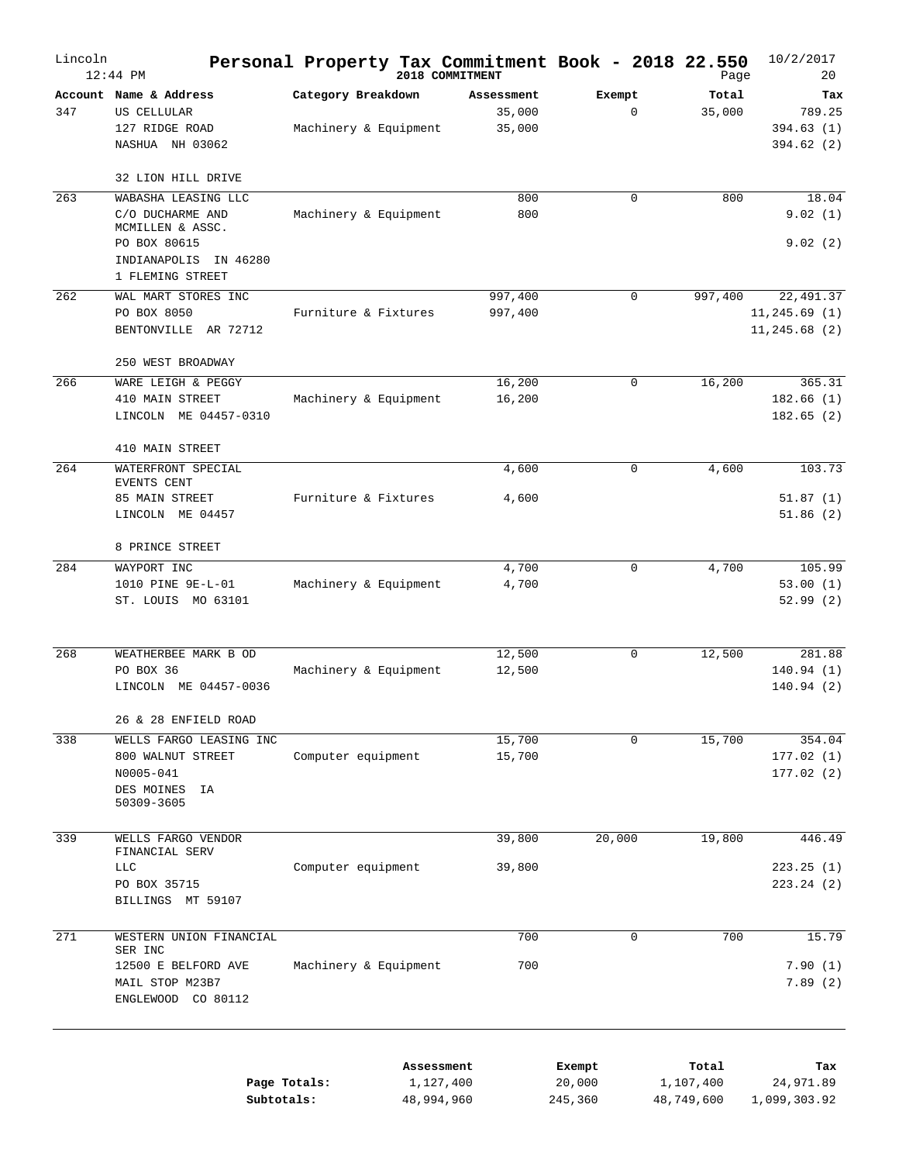| Lincoln | $12:44$ PM                                                                                                                  |                                             | Personal Property Tax Commitment Book - 2018 22.550<br>2018 COMMITMENT |                             |            | Page               | 10/2/2017<br>20                              |
|---------|-----------------------------------------------------------------------------------------------------------------------------|---------------------------------------------|------------------------------------------------------------------------|-----------------------------|------------|--------------------|----------------------------------------------|
| 347     | Account Name & Address<br>US CELLULAR<br>127 RIDGE ROAD<br>NASHUA NH 03062                                                  | Category Breakdown<br>Machinery & Equipment | Assessment<br>35,000<br>35,000                                         | Exempt<br>$\mathbf 0$       |            | Total<br>35,000    | Tax<br>789.25<br>394.63(1)<br>394.62(2)      |
|         | 32 LION HILL DRIVE                                                                                                          |                                             |                                                                        |                             |            |                    |                                              |
| 263     | WABASHA LEASING LLC<br>C/O DUCHARME AND<br>MCMILLEN & ASSC.<br>PO BOX 80615<br>INDIANAPOLIS<br>IN 46280<br>1 FLEMING STREET | Machinery & Equipment                       | 800<br>800                                                             | 0                           |            | 800                | 18.04<br>9.02(1)<br>9.02(2)                  |
| 262     | WAL MART STORES INC<br>PO BOX 8050<br>BENTONVILLE AR 72712                                                                  | Furniture & Fixtures                        | 997,400<br>997,400                                                     | $\mathbf 0$                 |            | 997,400            | 22, 491.37<br>11, 245.69(1)<br>11, 245.68(2) |
| 266     | 250 WEST BROADWAY<br>WARE LEIGH & PEGGY<br>410 MAIN STREET<br>LINCOLN ME 04457-0310                                         | Machinery & Equipment                       | 16,200<br>16,200                                                       | 0                           |            | 16,200             | 365.31<br>182.66(1)<br>182.65(2)             |
| 264     | 410 MAIN STREET<br>WATERFRONT SPECIAL<br>EVENTS CENT<br>85 MAIN STREET<br>LINCOLN ME 04457                                  | Furniture & Fixtures                        | 4,600<br>4,600                                                         | $\mathbf 0$                 |            | 4,600              | 103.73<br>51.87(1)<br>51.86(2)               |
|         | 8 PRINCE STREET                                                                                                             |                                             |                                                                        |                             |            |                    |                                              |
| 284     | WAYPORT INC<br>1010 PINE 9E-L-01<br>ST. LOUIS MO 63101                                                                      | Machinery & Equipment                       | 4,700<br>4,700                                                         | 0                           |            | 4,700              | 105.99<br>53.00(1)<br>52.99(2)               |
| 268     | WEATHERBEE MARK B OD<br>PO BOX 36<br>LINCOLN ME 04457-0036                                                                  | Machinery & Equipment                       | 12,500<br>12,500                                                       | 0                           |            | 12,500             | 281.88<br>140.94(1)<br>140.94(2)             |
| 338     | 26 & 28 ENFIELD ROAD<br>WELLS FARGO LEASING INC<br>800 WALNUT STREET<br>N0005-041<br>DES MOINES<br>ΙA                       | Computer equipment                          | 15,700<br>15,700                                                       | 0                           |            | 15,700             | 354.04<br>177.02(1)<br>177.02(2)             |
|         | 50309-3605                                                                                                                  |                                             |                                                                        |                             |            |                    |                                              |
| 339     | WELLS FARGO VENDOR<br>FINANCIAL SERV<br><b>LLC</b><br>PO BOX 35715<br>BILLINGS MT 59107                                     | Computer equipment                          | 39,800<br>39,800                                                       | 20,000                      |            | 19,800             | 446.49<br>223.25(1)<br>223.24(2)             |
| 271     | WESTERN UNION FINANCIAL                                                                                                     |                                             | 700                                                                    | $\mathbf 0$                 |            | 700                | 15.79                                        |
|         | SER INC<br>12500 E BELFORD AVE<br>MAIL STOP M23B7<br>ENGLEWOOD CO 80112                                                     | Machinery & Equipment                       | 700                                                                    |                             |            |                    | 7.90(1)<br>7.89(2)                           |
|         | Page Totals:<br>Subtotals:                                                                                                  |                                             | Assessment<br>1,127,400<br>48,994,960                                  | Exempt<br>20,000<br>245,360 | 48,749,600 | Total<br>1,107,400 | Tax<br>24,971.89<br>1,099,303.92             |